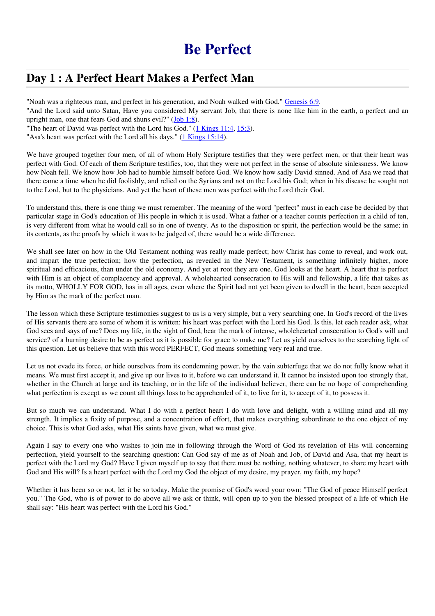# Be Perfect

## Day 1 : A Perfect Heart Makes a Perfect Man

"Noah was a righteous man, and perfect in his generation, and Noah walked with God." [Genesis 6:9.](http://www.crossbooks.com/verse.asp?ref=Ge+6%3A9)

"And the Lord said unto Satan, Have you considered My servant Job, that there is none like him in the earth, a perfect and an upright man, one that fears God and shuns evil?" [\(Job 1:8\)](http://www.crossbooks.com/verse.asp?ref=Job+1%3A8).

"The heart of David was perfect with the Lord his God." [\(1 Kings 11:4,](http://www.crossbooks.com/verse.asp?ref=1Ki+11%3A4) [15:3\)](http://www.crossbooks.com/verse.asp?ref=1Ki+15%3A3).

"Asa's heart was perfect with the Lord all his days." [\(1 Kings 15:14\)](http://www.crossbooks.com/verse.asp?ref=1Ki+15%3A14).

We have grouped together four men, of all of whom Holy Scripture testifies that they were perfect men, or that their heart was perfect with God. Of each of them Scripture testifies, too, that they were not perfect in the sense of absolute sinlessness. We know how Noah fell. We know how Job had to humble himself before God. We know how sadly David sinned. And of Asa we read that there came a time when he did foolishly, and relied on the Syrians and not on the Lord his God; when in his disease he sought not to the Lord, but to the physicians. And yet the heart of these men was perfect with the Lord their God.

To understand this, there is one thing we must remember. The meaning of the word "perfect" must in each case be decided by that particular stage in God's education of His people in which it is used. What a father or a teacher counts perfection in a child of ten, is very different from what he would call so in one of twenty. As to the disposition or spirit, the perfection would be the same; in its contents, as the proofs by which it was to be judged of, there would be a wide difference.

We shall see later on how in the Old Testament nothing was really made perfect; how Christ has come to reveal, and work out, and impart the true perfection; how the perfection, as revealed in the New Testament, is something infinitely higher, more spiritual and efficacious, than under the old economy. And yet at root they are one. God looks at the heart. A heart that is perfect with Him is an object of complacency and approval. A wholehearted consecration to His will and fellowship, a life that takes as its motto, WHOLLY FOR GOD, has in all ages, even where the Spirit had not yet been given to dwell in the heart, been accepted by Him as the mark of the perfect man.

The lesson which these Scripture testimonies suggest to us is a very simple, but a very searching one. In God's record of the lives of His servants there are some of whom it is written: his heart was perfect with the Lord his God. Is this, let each reader ask, what God sees and says of me? Does my life, in the sight of God, bear the mark of intense, wholehearted consecration to God's will and service? of a burning desire to be as perfect as it is possible for grace to make me? Let us yield ourselves to the searching light of this question. Let us believe that with this word PERFECT, God means something very real and true.

Let us not evade its force, or hide ourselves from its condemning power, by the vain subterfuge that we do not fully know what it means. We must first accept it, and give up our lives to it, before we can understand it. It cannot be insisted upon too strongly that, whether in the Church at large and its teaching, or in the life of the individual believer, there can be no hope of comprehending what perfection is except as we count all things loss to be apprehended of it, to live for it, to accept of it, to possess it.

But so much we can understand. What I do with a perfect heart I do with love and delight, with a willing mind and all my strength. It implies a fixity of purpose, and a concentration of effort, that makes everything subordinate to the one object of my choice. This is what God asks, what His saints have given, what we must give.

Again I say to every one who wishes to join me in following through the Word of God its revelation of His will concerning perfection, yield yourself to the searching question: Can God say of me as of Noah and Job, of David and Asa, that my heart is perfect with the Lord my God? Have I given myself up to say that there must be nothing, nothing whatever, to share my heart with God and His will? Is a heart perfect with the Lord my God the object of my desire, my prayer, my faith, my hope?

Whether it has been so or not, let it be so today. Make the promise of God's word your own: "The God of peace Himself perfect you." The God, who is of power to do above all we ask or think, will open up to you the blessed prospect of a life of which He shall say: "His heart was perfect with the Lord his God."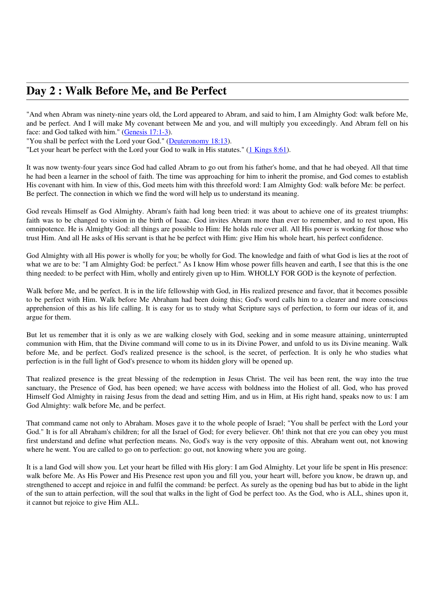## Day 2 : Walk Before Me, and Be Perfect

"And when Abram was ninety-nine years old, the Lord appeared to Abram, and said to him, I am Almighty God: walk before Me, and be perfect. And I will make My covenant between Me and you, and will multiply you exceedingly. And Abram fell on his face: and God talked with him." (Genesis 17:1-3).

"You shall be perfect with the Lord your God." [\(Deuteronomy 18:13\)](http://www.crossbooks.com/verse.asp?ref=Dt+18%3A13).

"Let your heart be perfect with the Lord your God to walk in His statutes." [\(1 Kings 8:61\)](http://www.crossbooks.com/verse.asp?ref=1Ki+8%3A61).

It was now twenty-four years since God had called Abram to go out from his father's home, and that he had obeyed. All that time he had been a learner in the school of faith. The time was approaching for him to inherit the promise, and God comes to establish His covenant with him. In view of this, God meets him with this threefold word: I am Almighty God: walk before Me: be perfect. Be perfect. The connection in which we find the word will help us to understand its meaning.

God reveals Himself as God Almighty. Abram's faith had long been tried: it was about to achieve one of its greatest triumphs: faith was to be changed to vision in the birth of Isaac. God invites Abram more than ever to remember, and to rest upon, His omnipotence. He is Almighty God: all things are possible to Him: He holds rule over all. All His power is working for those who trust Him. And all He asks of His servant is that he be perfect with Him: give Him his whole heart, his perfect confidence.

God Almighty with all His power is wholly for you; be wholly for God. The knowledge and faith of what God is lies at the root of what we are to be: "I am Almighty God: be perfect." As I know Him whose power fills heaven and earth, I see that this is the one thing needed: to be perfect with Him, wholly and entirely given up to Him. WHOLLY FOR GOD is the keynote of perfection.

Walk before Me, and be perfect. It is in the life fellowship with God, in His realized presence and favor, that it becomes possible to be perfect with Him. Walk before Me Abraham had been doing this; God's word calls him to a clearer and more conscious apprehension of this as his life calling. It is easy for us to study what Scripture says of perfection, to form our ideas of it, and argue for them.

But let us remember that it is only as we are walking closely with God, seeking and in some measure attaining, uninterrupted communion with Him, that the Divine command will come to us in its Divine Power, and unfold to us its Divine meaning. Walk before Me, and be perfect. God's realized presence is the school, is the secret, of perfection. It is only he who studies what perfection is in the full light of God's presence to whom its hidden glory will be opened up.

That realized presence is the great blessing of the redemption in Jesus Christ. The veil has been rent, the way into the true sanctuary, the Presence of God, has been opened; we have access with boldness into the Holiest of all. God, who has proved Himself God Almighty in raising Jesus from the dead and setting Him, and us in Him, at His right hand, speaks now to us: I am God Almighty: walk before Me, and be perfect.

That command came not only to Abraham. Moses gave it to the whole people of Israel; "You shall be perfect with the Lord your God." It is for all Abraham's children; for all the Israel of God; for every believer. Oh! think not that ere you can obey you must first understand and define what perfection means. No, God's way is the very opposite of this. Abraham went out, not knowing where he went. You are called to go on to perfection: go out, not knowing where you are going.

It is a land God will show you. Let your heart be filled with His glory: I am God Almighty. Let your life be spent in His presence: walk before Me. As His Power and His Presence rest upon you and fill you, your heart will, before you know, be drawn up, and strengthened to accept and rejoice in and fulfil the command: be perfect. As surely as the opening bud has but to abide in the light of the sun to attain perfection, will the soul that walks in the light of God be perfect too. As the God, who is ALL, shines upon it, it cannot but rejoice to give Him ALL.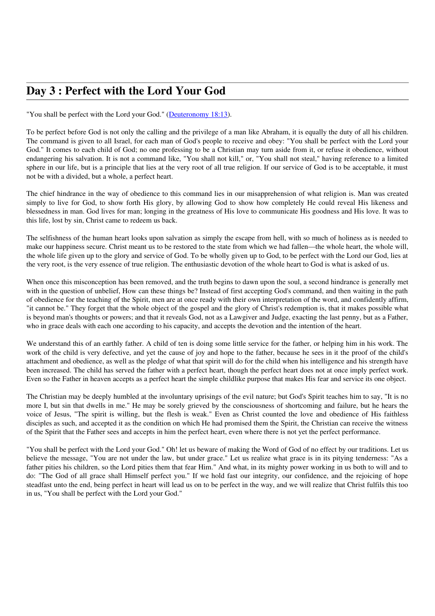## Day 3 : Perfect with the Lord Your God

"You shall be perfect with the Lord your God." [\(Deuteronomy 18:13\)](http://www.crossbooks.com/verse.asp?ref=Dt+18%3A13).

To be perfect before God is not only the calling and the privilege of a man like Abraham, it is equally the duty of all his children. The command is given to all Israel, for each man of God's people to receive and obey: "You shall be perfect with the Lord your God." It comes to each child of God; no one professing to be a Christian may turn aside from it, or refuse it obedience, without endangering his salvation. It is not a command like, "You shall not kill," or, "You shall not steal," having reference to a limited sphere in our life, but is a principle that lies at the very root of all true religion. If our service of God is to be acceptable, it must not be with a divided, but a whole, a perfect heart.

The chief hindrance in the way of obedience to this command lies in our misapprehension of what religion is. Man was created simply to live for God, to show forth His glory, by allowing God to show how completely He could reveal His likeness and blessedness in man. God lives for man; longing in the greatness of His love to communicate His goodness and His love. It was to this life, lost by sin, Christ came to redeem us back.

The selfishness of the human heart looks upon salvation as simply the escape from hell, with so much of holiness as is needed to make our happiness secure. Christ meant us to be restored to the state from which we had fallen—the whole heart, the whole will, the whole life given up to the glory and service of God. To be wholly given up to God, to be perfect with the Lord our God, lies at the very root, is the very essence of true religion. The enthusiastic devotion of the whole heart to God is what is asked of us.

When once this misconception has been removed, and the truth begins to dawn upon the soul, a second hindrance is generally met with in the question of unbelief, How can these things be? Instead of first accepting God's command, and then waiting in the path of obedience for the teaching of the Spirit, men are at once ready with their own interpretation of the word, and confidently affirm, "it cannot be." They forget that the whole object of the gospel and the glory of Christ's redemption is, that it makes possible what is beyond man's thoughts or powers; and that it reveals God, not as a Lawgiver and Judge, exacting the last penny, but as a Father, who in grace deals with each one according to his capacity, and accepts the devotion and the intention of the heart.

We understand this of an earthly father. A child of ten is doing some little service for the father, or helping him in his work. The work of the child is very defective, and yet the cause of joy and hope to the father, because he sees in it the proof of the child's attachment and obedience, as well as the pledge of what that spirit will do for the child when his intelligence and his strength have been increased. The child has served the father with a perfect heart, though the perfect heart does not at once imply perfect work. Even so the Father in heaven accepts as a perfect heart the simple childlike purpose that makes His fear and service its one object.

The Christian may be deeply humbled at the involuntary uprisings of the evil nature; but God's Spirit teaches him to say, "It is no more I, but sin that dwells in me." He may be sorely grieved by the consciousness of shortcoming and failure, but he hears the voice of Jesus, "The spirit is willing, but the flesh is weak." Even as Christ counted the love and obedience of His faithless disciples as such, and accepted it as the condition on which He had promised them the Spirit, the Christian can receive the witness of the Spirit that the Father sees and accepts in him the perfect heart, even where there is not yet the perfect performance.

"You shall be perfect with the Lord your God." Oh! let us beware of making the Word of God of no effect by our traditions. Let us believe the message, "You are not under the law, but under grace." Let us realize what grace is in its pitying tenderness: "As a father pities his children, so the Lord pities them that fear Him." And what, in its mighty power working in us both to will and to do: "The God of all grace shall Himself perfect you." If we hold fast our integrity, our confidence, and the rejoicing of hope steadfast unto the end, being perfect in heart will lead us on to be perfect in the way, and we will realize that Christ fulfils this too in us, "You shall be perfect with the Lord your God."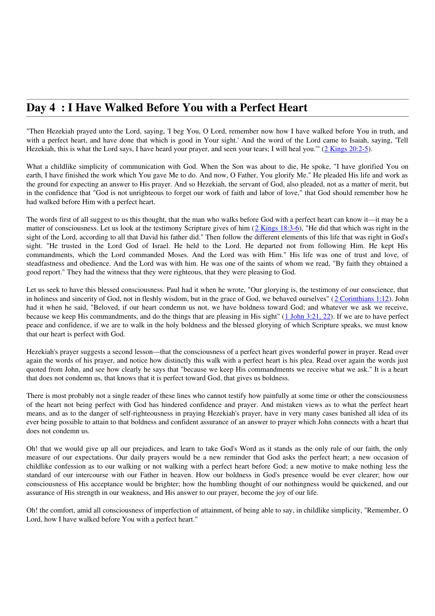## Day 4 : I Have Walked Before You with a Perfect Heart

"Then Hezekiah prayed unto the Lord, saying, 'I beg You, O Lord, remember now how I have walked before You in truth, and with a perfect heart, and have done that which is good in Your sight.' And the word of the Lord came to Isaiah, saying, 'Tell Hezekiah, this is what the Lord says, I have heard your prayer, and seen your tears; I will heal you.'" (2 Kings 20:2-5).

What a childlike simplicity of communication with God. When the Son was about to die, He spoke, "I have glorified You on earth, I have finished the work which You gave Me to do. And now, O Father, You glorify Me." He pleaded His life and work as the ground for expecting an answer to His prayer. And so Hezekiah, the servant of God, also pleaded, not as a matter of merit, but in the confidence that "God is not unrighteous to forget our work of faith and labor of love," that God should remember how he had walked before Him with a perfect heart.

The words first of all suggest to us this thought, that the man who walks before God with a perfect heart can know it—it may be a matter of consciousness. Let us look at the testimony Scripture gives of him  $(2$  Kings 18:3-6), "He did that which was right in the sight of the Lord, according to all that David his father did." Then follow the different elements of this life that was right in God's sight. "He trusted in the Lord God of Israel. He held to the Lord. He departed not from following Him. He kept His commandments, which the Lord commanded Moses. And the Lord was with Him." His life was one of trust and love, of steadfastness and obedience. And the Lord was with him. He was one of the saints of whom we read, "By faith they obtained a good report." They had the witness that they were righteous, that they were pleasing to God.

Let us seek to have this blessed consciousness. Paul had it when he wrote, "Our glorying is, the testimony of our conscience, that in holiness and sincerity of God, not in fleshly wisdom, but in the grace of God, we behaved ourselves" ([2 Corinthians 1:12\)](http://www.crossbooks.com/verse.asp?ref=2Co+1%3A12). John had it when he said, "Beloved, if our heart condemn us not, we have boldness toward God; and whatever we ask we receive, because we keep His commandments, and do the things that are pleasing in His sight" [\(1 John 3:21, 22\)](http://www.crossbooks.com/verse.asp?ref=1Jn+3%3A21-22). If we are to have perfect peace and confidence, if we are to walk in the holy boldness and the blessed glorying of which Scripture speaks, we must know that our heart is perfect with God.

Hezekiah's prayer suggests a second lesson—that the consciousness of a perfect heart gives wonderful power in prayer. Read over again the words of his prayer, and notice how distinctly this walk with a perfect heart is his plea. Read over again the words just quoted from John, and see how clearly he says that "because we keep His commandments we receive what we ask." It is a heart that does not condemn us, that knows that it is perfect toward God, that gives us boldness.

There is most probably not a single reader of these lines who cannot testify how painfully at some time or other the consciousness of the heart not being perfect with God has hindered confidence and prayer. And mistaken views as to what the perfect heart means, and as to the danger of self-righteousness in praying Hezekiah's prayer, have in very many cases banished all idea of its ever being possible to attain to that boldness and confident assurance of an answer to prayer which John connects with a heart that does not condemn us.

Oh! that we would give up all our prejudices, and learn to take God's Word as it stands as the only rule of our faith, the only measure of our expectations. Our daily prayers would be a new reminder that God asks the perfect heart; a new occasion of childlike confession as to our walking or not walking with a perfect heart before God; a new motive to make nothing less the standard of our intercourse with our Father in heaven. How our boldness in God's presence would be ever clearer; how our consciousness of His acceptance would be brighter; how the humbling thought of our nothingness would be quickened, and our assurance of His strength in our weakness, and His answer to our prayer, become the joy of our life.

Oh! the comfort, amid all consciousness of imperfection of attainment, of being able to say, in childlike simplicity, "Remember, O Lord, how I have walked before You with a perfect heart."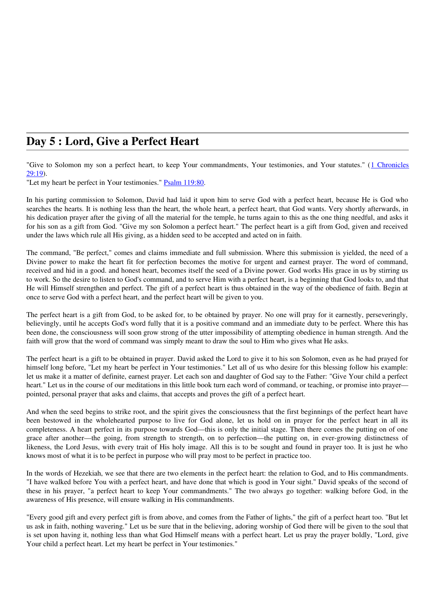## Day 5 : Lord, Give a Perfect Heart

"Give to Solomon my son a perfect heart, to keep Your commandments, Your testimonies, and Your statutes." [\(1 Chronicles](http://www.crossbooks.com/verse.asp?ref=1Ch+29%3A19) [29:19\)](http://www.crossbooks.com/verse.asp?ref=1Ch+29%3A19).

"Let my heart be perfect in Your testimonies." [Psalm 119:80.](http://www.crossbooks.com/verse.asp?ref=Ps+119%3A80)

In his parting commission to Solomon, David had laid it upon him to serve God with a perfect heart, because He is God who searches the hearts. It is nothing less than the heart, the whole heart, a perfect heart, that God wants. Very shortly afterwards, in his dedication prayer after the giving of all the material for the temple, he turns again to this as the one thing needful, and asks it for his son as a gift from God. "Give my son Solomon a perfect heart." The perfect heart is a gift from God, given and received under the laws which rule all His giving, as a hidden seed to be accepted and acted on in faith.

The command, "Be perfect," comes and claims immediate and full submission. Where this submission is yielded, the need of a Divine power to make the heart fit for perfection becomes the motive for urgent and earnest prayer. The word of command, received and hid in a good. and honest heart, becomes itself the seed of a Divine power. God works His grace in us by stirring us to work. So the desire to listen to God's command, and to serve Him with a perfect heart, is a beginning that God looks to, and that He will Himself strengthen and perfect. The gift of a perfect heart is thus obtained in the way of the obedience of faith. Begin at once to serve God with a perfect heart, and the perfect heart will be given to you.

The perfect heart is a gift from God, to be asked for, to be obtained by prayer. No one will pray for it earnestly, perseveringly, believingly, until he accepts God's word fully that it is a positive command and an immediate duty to be perfect. Where this has been done, the consciousness will soon grow strong of the utter impossibility of attempting obedience in human strength. And the faith will grow that the word of command was simply meant to draw the soul to Him who gives what He asks.

The perfect heart is a gift to be obtained in prayer. David asked the Lord to give it to his son Solomon, even as he had prayed for himself long before, "Let my heart be perfect in Your testimonies." Let all of us who desire for this blessing follow his example: let us make it a matter of definite, earnest prayer. Let each son and daughter of God say to the Father: "Give Your child a perfect heart." Let us in the course of our meditations in this little book turn each word of command, or teaching, or promise into prayer pointed, personal prayer that asks and claims, that accepts and proves the gift of a perfect heart.

And when the seed begins to strike root, and the spirit gives the consciousness that the first beginnings of the perfect heart have been bestowed in the wholehearted purpose to live for God alone, let us hold on in prayer for the perfect heart in all its completeness. A heart perfect in its purpose towards God—this is only the initial stage. Then there comes the putting on of one grace after another—the going, from strength to strength, on to perfection—the putting on, in ever-growing distinctness of likeness, the Lord Jesus, with every trait of His holy image. All this is to be sought and found in prayer too. It is just he who knows most of what it is to be perfect in purpose who will pray most to be perfect in practice too.

In the words of Hezekiah, we see that there are two elements in the perfect heart: the relation to God, and to His commandments. "I have walked before You with a perfect heart, and have done that which is good in Your sight." David speaks of the second of these in his prayer, "a perfect heart to keep Your commandments." The two always go together: walking before God, in the awareness of His presence, will ensure walking in His commandments.

"Every good gift and every perfect gift is from above, and comes from the Father of lights," the gift of a perfect heart too. "But let us ask in faith, nothing wavering." Let us be sure that in the believing, adoring worship of God there will be given to the soul that is set upon having it, nothing less than what God Himself means with a perfect heart. Let us pray the prayer boldly, "Lord, give Your child a perfect heart. Let my heart be perfect in Your testimonies."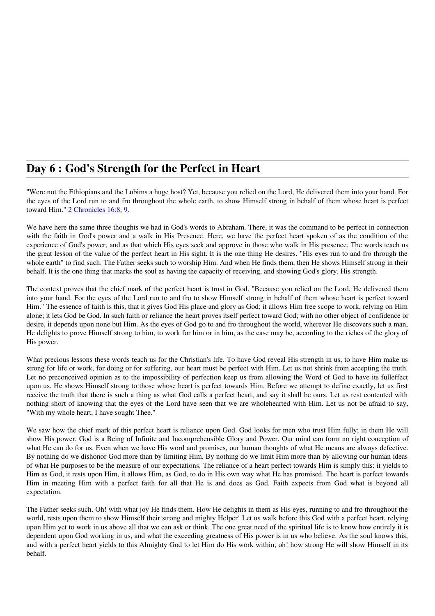## Day 6 : God's Strength for the Perfect in Heart

"Were not the Ethiopians and the Lubims a huge host? Yet, because you relied on the Lord, He delivered them into your hand. For the eyes of the Lord run to and fro throughout the whole earth, to show Himself strong in behalf of them whose heart is perfect toward Him." [2 Chronicles 16:8,](http://www.crossbooks.com/verse.asp?ref=2Ch+16%3A8) [9.](http://www.crossbooks.com/verse.asp?ref=2Ch+16%3A9)

We have here the same three thoughts we had in God's words to Abraham. There, it was the command to be perfect in connection with the faith in God's power and a walk in His Presence. Here, we have the perfect heart spoken of as the condition of the experience of God's power, and as that which His eyes seek and approve in those who walk in His presence. The words teach us the great lesson of the value of the perfect heart in His sight. It is the one thing He desires. "His eyes run to and fro through the whole earth" to find such. The Father seeks such to worship Him. And when He finds them, then He shows Himself strong in their behalf. It is the one thing that marks the soul as having the capacity of receiving, and showing God's glory, His strength.

The context proves that the chief mark of the perfect heart is trust in God. "Because you relied on the Lord, He delivered them into your hand. For the eyes of the Lord run to and fro to show Himself strong in behalf of them whose heart is perfect toward Him." The essence of faith is this, that it gives God His place and glory as God; it allows Him free scope to work, relying on Him alone; it lets God be God. In such faith or reliance the heart proves itself perfect toward God; with no other object of confidence or desire, it depends upon none but Him. As the eyes of God go to and fro throughout the world, wherever He discovers such a man, He delights to prove Himself strong to him, to work for him or in him, as the case may be, according to the riches of the glory of His power.

What precious lessons these words teach us for the Christian's life. To have God reveal His strength in us, to have Him make us strong for life or work, for doing or for suffering, our heart must be perfect with Him. Let us not shrink from accepting the truth. Let no preconceived opinion as to the impossibility of perfection keep us from allowing the Word of God to have its fulleffect upon us. He shows Himself strong to those whose heart is perfect towards Him. Before we attempt to define exactly, let us first receive the truth that there is such a thing as what God calls a perfect heart, and say it shall be ours. Let us rest contented with nothing short of knowing that the eyes of the Lord have seen that we are wholehearted with Him. Let us not be afraid to say, "With my whole heart, I have sought Thee."

We saw how the chief mark of this perfect heart is reliance upon God. God looks for men who trust Him fully; in them He will show His power. God is a Being of Infinite and Incomprehensible Glory and Power. Our mind can form no right conception of what He can do for us. Even when we have His word and promises, our human thoughts of what He means are always defective. By nothing do we dishonor God more than by limiting Him. By nothing do we limit Him more than by allowing our human ideas of what He purposes to be the measure of our expectations. The reliance of a heart perfect towards Him is simply this: it yields to Him as God, it rests upon Him, it allows Him, as God, to do in His own way what He has promised. The heart is perfect towards Him in meeting Him with a perfect faith for all that He is and does as God. Faith expects from God what is beyond all expectation.

The Father seeks such. Oh! with what joy He finds them. How He delights in them as His eyes, running to and fro throughout the world, rests upon them to show Himself their strong and mighty Helper! Let us walk before this God with a perfect heart, relying upon Him yet to work in us above all that we can ask or think. The one great need of the spiritual life is to know how entirely it is dependent upon God working in us, and what the exceeding greatness of His power is in us who believe. As the soul knows this, and with a perfect heart yields to this Almighty God to let Him do His work within, oh! how strong He will show Himself in its behalf.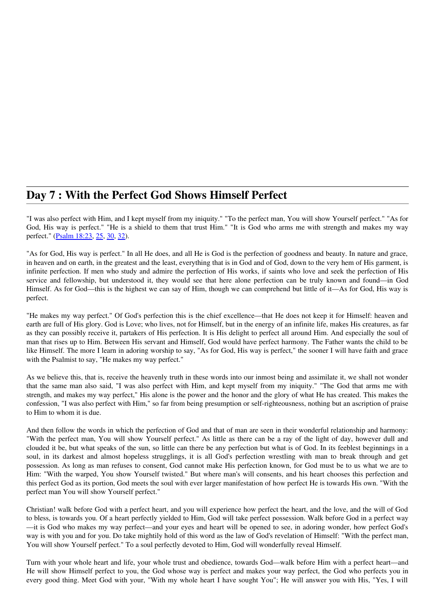## Day 7 : With the Perfect God Shows Himself Perfect

"I was also perfect with Him, and I kept myself from my iniquity." "To the perfect man, You will show Yourself perfect." "As for God, His way is perfect." "He is a shield to them that trust Him." "It is God who arms me with strength and makes my way perfect." [\(Psalm 18:23,](http://www.crossbooks.com/verse.asp?ref=Ps+18%3A23) [25,](http://www.crossbooks.com/verse.asp?ref=Ps+18%3A25) [30,](http://www.crossbooks.com/verse.asp?ref=Ps+18%3A30) [32\)](http://www.crossbooks.com/verse.asp?ref=Ps+18%3A32).

"As for God, His way is perfect." In all He does, and all He is God is the perfection of goodness and beauty. In nature and grace, in heaven and on earth, in the greatest and the least, everything that is in God and of God, down to the very hem of His garment, is infinite perfection. If men who study and admire the perfection of His works, if saints who love and seek the perfection of His service and fellowship, but understood it, they would see that here alone perfection can be truly known and found—in God Himself. As for God—this is the highest we can say of Him, though we can comprehend but little of it—As for God, His way is perfect.

"He makes my way perfect." Of God's perfection this is the chief excellence—that He does not keep it for Himself: heaven and earth are full of His glory. God is Love; who lives, not for Himself, but in the energy of an infinite life, makes His creatures, as far as they can possibly receive it, partakers of His perfection. It is His delight to perfect all around Him. And especially the soul of man that rises up to Him. Between His servant and Himself, God would have perfect harmony. The Father wants the child to be like Himself. The more I learn in adoring worship to say, "As for God, His way is perfect," the sooner I will have faith and grace with the Psalmist to say, "He makes my way perfect."

As we believe this, that is, receive the heavenly truth in these words into our inmost being and assimilate it, we shall not wonder that the same man also said, "I was also perfect with Him, and kept myself from my iniquity." "The God that arms me with strength, and makes my way perfect," His alone is the power and the honor and the glory of what He has created. This makes the confession, "I was also perfect with Him," so far from being presumption or self-righteousness, nothing but an ascription of praise to Him to whom it is due.

And then follow the words in which the perfection of God and that of man are seen in their wonderful relationship and harmony: "With the perfect man, You will show Yourself perfect." As little as there can be a ray of the light of day, however dull and clouded it be, but what speaks of the sun, so little can there be any perfection but what is of God. In its feeblest beginnings in a soul, in its darkest and almost hopeless strugglings, it is all God's perfection wrestling with man to break through and get possession. As long as man refuses to consent, God cannot make His perfection known, for God must be to us what we are to Him: "With the warped, You show Yourself twisted." But where man's will consents, and his heart chooses this perfection and this perfect God as its portion, God meets the soul with ever larger manifestation of how perfect He is towards His own. "With the perfect man You will show Yourself perfect."

Christian! walk before God with a perfect heart, and you will experience how perfect the heart, and the love, and the will of God to bless, is towards you. Of a heart perfectly yielded to Him, God will take perfect possession. Walk before God in a perfect way —it is God who makes my way perfect—and your eyes and heart will be opened to see, in adoring wonder, how perfect God's way is with you and for you. Do take mightily hold of this word as the law of God's revelation of Himself: "With the perfect man, You will show Yourself perfect." To a soul perfectly devoted to Him, God will wonderfully reveal Himself.

Turn with your whole heart and life, your whole trust and obedience, towards God—walk before Him with a perfect heart—and He will show Himself perfect to you, the God whose way is perfect and makes your way perfect, the God who perfects you in every good thing. Meet God with your, "With my whole heart I have sought You"; He will answer you with His, "Yes, I will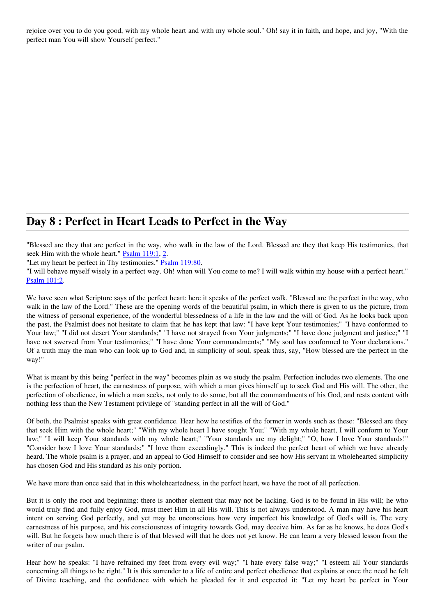rejoice over you to do you good, with my whole heart and with my whole soul." Oh! say it in faith, and hope, and joy, "With the perfect man You will show Yourself perfect."

#### Day 8 : Perfect in Heart Leads to Perfect in the Way

"Blessed are they that are perfect in the way, who walk in the law of the Lord. Blessed are they that keep His testimonies, that seek Him with the whole heart." [Psalm 119:1,](http://www.crossbooks.com/verse.asp?ref=Ps+119%3A1) [2.](http://www.crossbooks.com/verse.asp?ref=Ps+119%3A2)

"Let my heart be perfect in Thy testimonies." [Psalm 119:80.](http://www.crossbooks.com/verse.asp?ref=Ps+119%3A80)

"I will behave myself wisely in a perfect way. Oh! when will You come to me? I will walk within my house with a perfect heart." [Psalm 101:2.](http://www.crossbooks.com/verse.asp?ref=Ps+101%3A2)

We have seen what Scripture says of the perfect heart: here it speaks of the perfect walk. "Blessed are the perfect in the way, who walk in the law of the Lord." These are the opening words of the beautiful psalm, in which there is given to us the picture, from the witness of personal experience, of the wonderful blessedness of a life in the law and the will of God. As he looks back upon the past, the Psalmist does not hesitate to claim that he has kept that law: "I have kept Your testimonies;" "I have conformed to Your law;" "I did not desert Your standards;" "I have not strayed from Your judgments;" "I have done judgment and justice;" "I have not swerved from Your testimonies;" "I have done Your commandments;" "My soul has conformed to Your declarations." Of a truth may the man who can look up to God and, in simplicity of soul, speak thus, say, "How blessed are the perfect in the way!"

What is meant by this being "perfect in the way" becomes plain as we study the psalm. Perfection includes two elements. The one is the perfection of heart, the earnestness of purpose, with which a man gives himself up to seek God and His will. The other, the perfection of obedience, in which a man seeks, not only to do some, but all the commandments of his God, and rests content with nothing less than the New Testament privilege of "standing perfect in all the will of God."

Of both, the Psalmist speaks with great confidence. Hear how he testifies of the former in words such as these: "Blessed are they that seek Him with the whole heart;" "With my whole heart I have sought You;" "With my whole heart, I will conform to Your law;" "I will keep Your standards with my whole heart;" "Your standards are my delight;" "O, how I love Your standards!" "Consider how I love Your standards;" "I love them exceedingly." This is indeed the perfect heart of which we have already heard. The whole psalm is a prayer, and an appeal to God Himself to consider and see how His servant in wholehearted simplicity has chosen God and His standard as his only portion.

We have more than once said that in this wholeheartedness, in the perfect heart, we have the root of all perfection.

But it is only the root and beginning: there is another element that may not be lacking. God is to be found in His will; he who would truly find and fully enjoy God, must meet Him in all His will. This is not always understood. A man may have his heart intent on serving God perfectly, and yet may be unconscious how very imperfect his knowledge of God's will is. The very earnestness of his purpose, and his consciousness of integrity towards God, may deceive him. As far as he knows, he does God's will. But he forgets how much there is of that blessed will that he does not yet know. He can learn a very blessed lesson from the writer of our psalm.

Hear how he speaks: "I have refrained my feet from every evil way;" "I hate every false way;" "I esteem all Your standards concerning all things to be right." It is this surrender to a life of entire and perfect obedience that explains at once the need he felt of Divine teaching, and the confidence with which he pleaded for it and expected it: "Let my heart be perfect in Your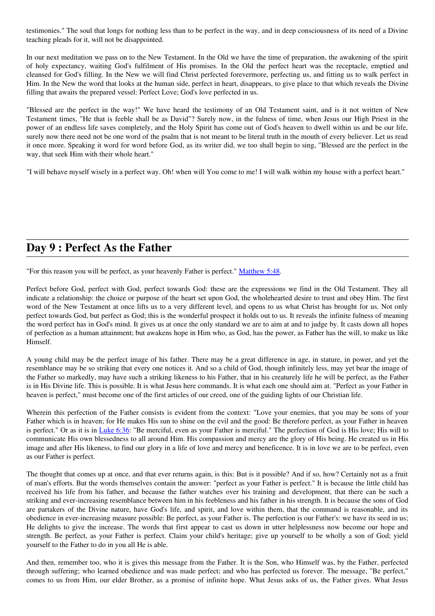testimonies." The soul that longs for nothing less than to be perfect in the way, and in deep consciousness of its need of a Divine teaching pleads for it, will not be disappointed.

In our next meditation we pass on to the New Testament. In the Old we have the time of preparation, the awakening of the spirit of holy expectancy, waiting God's fulfilment of His promises. In the Old the perfect heart was the receptacle, emptied and cleansed for God's filling. In the New we will find Christ perfected forevermore, perfecting us, and fitting us to walk perfect in Him. In the New the word that looks at the human side, perfect in heart, disappears, to give place to that which reveals the Divine filling that awaits the prepared vessel: Perfect Love; God's love perfected in us.

"Blessed are the perfect in the way!" We have heard the testimony of an Old Testament saint, and is it not written of New Testament times, "He that is feeble shall be as David"? Surely now, in the fulness of time, when Jesus our High Priest in the power of an endless life saves completely, and the Holy Spirit has come out of God's heaven to dwell within us and be our life, surely now there need not be one word of the psalm that is not meant to be literal truth in the mouth of every believer. Let us read it once more. Speaking it word for word before God, as its writer did, we too shall begin to sing, "Blessed are the perfect in the way, that seek Him with their whole heart."

"I will behave myself wisely in a perfect way. Oh! when will You come to me! I will walk within my house with a perfect heart."

#### Day 9 : Perfect As the Father

"For this reason you will be perfect, as your heavenly Father is perfect." [Matthew 5:48.](http://www.crossbooks.com/verse.asp?ref=Mt+5%3A48)

Perfect before God, perfect with God, perfect towards God: these are the expressions we find in the Old Testament. They all indicate a relationship: the choice or purpose of the heart set upon God, the wholehearted desire to trust and obey Him. The first word of the New Testament at once lifts us to a very different level, and opens to us what Christ has brought for us. Not only perfect towards God, but perfect as God; this is the wonderful prospect it holds out to us. It reveals the infinite fulness of meaning the word perfect has in God's mind. It gives us at once the only standard we are to aim at and to judge by. It casts down all hopes of perfection as a human attainment; but awakens hope in Him who, as God, has the power, as Father has the will, to make us like Himself.

A young child may be the perfect image of his father. There may be a great difference in age, in stature, in power, and yet the resemblance may be so striking that every one notices it. And so a child of God, though infinitely less, may yet bear the image of the Father so markedly, may have such a striking likeness to his Father, that in his creaturely life he will be perfect, as the Father is in His Divine life. This is possible. It is what Jesus here commands. It is what each one should aim at. "Perfect as your Father in heaven is perfect," must become one of the first articles of our creed, one of the guiding lights of our Christian life.

Wherein this perfection of the Father consists is evident from the context: "Love your enemies, that you may be sons of your Father which is in heaven; for He makes His sun to shine on the evil and the good: Be therefore perfect, as your Father in heaven is perfect." Or as it is in [Luke 6:36:](http://www.crossbooks.com/verse.asp?ref=Lk+6%3A36) "Be merciful, even as your Father is merciful." The perfection of God is His love; His will to communicate His own blessedness to all around Him. His compassion and mercy are the glory of His being. He created us in His image and after His likeness, to find our glory in a life of love and mercy and beneficence. It is in love we are to be perfect, even as our Father is perfect.

The thought that comes up at once, and that ever returns again, is this: But is it possible? And if so, how? Certainly not as a fruit of man's efforts. But the words themselves contain the answer: "perfect as your Father is perfect." It is because the little child has received his life from his father, and because the father watches over his training and development, that there can be such a striking and everincreasing resemblance between him in his feebleness and his father in his strength. It is because the sons of God are partakers of the Divine nature, have God's life, and spirit, and love within them, that the command is reasonable, and its obedience in ever-increasing measure possible: Be perfect, as your Father is. The perfection is our Father's: we have its seed in us; He delights to give the increase. The words that first appear to cast us down in utter helplessness now become our hope and strength. Be perfect, as your Father is perfect. Claim your child's heritage; give up yourself to be wholly a son of God; yield yourself to the Father to do in you all He is able.

And then, remember too, who it is gives this message from the Father. It is the Son, who Himself was, by the Father, perfected through suffering; who learned obedience and was made perfect; and who has perfected us forever. The message, "Be perfect," comes to us from Him, our elder Brother, as a promise of infinite hope. What Jesus asks of us, the Father gives. What Jesus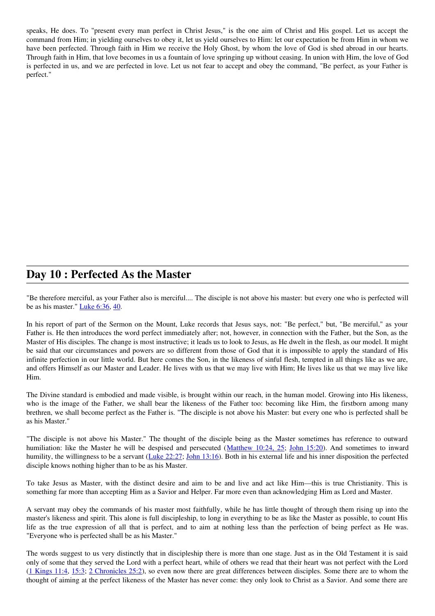speaks, He does. To "present every man perfect in Christ Jesus," is the one aim of Christ and His gospel. Let us accept the command from Him; in yielding ourselves to obey it, let us yield ourselves to Him: let our expectation be from Him in whom we have been perfected. Through faith in Him we receive the Holy Ghost, by whom the love of God is shed abroad in our hearts. Through faith in Him, that love becomes in us a fountain of love springing up without ceasing. In union with Him, the love of God is perfected in us, and we are perfected in love. Let us not fear to accept and obey the command, "Be perfect, as your Father is perfect."

#### Day 10 : Perfected As the Master

"Be therefore merciful, as your Father also is merciful.... The disciple is not above his master: but every one who is perfected will be as his master." **Luke 6:36, [40.](http://www.crossbooks.com/verse.asp?ref=Lk+6%3A40)** 

In his report of part of the Sermon on the Mount, Luke records that Jesus says, not: "Be perfect," but, "Be merciful," as your Father is. He then introduces the word perfect immediately after; not, however, in connection with the Father, but the Son, as the Master of His disciples. The change is most instructive; it leads us to look to Jesus, as He dwelt in the flesh, as our model. It might be said that our circumstances and powers are so different from those of God that it is impossible to apply the standard of His infinite perfection in our little world. But here comes the Son, in the likeness of sinful flesh, tempted in all things like as we are, and offers Himself as our Master and Leader. He lives with us that we may live with Him; He lives like us that we may live like Him.

The Divine standard is embodied and made visible, is brought within our reach, in the human model. Growing into His likeness, who is the image of the Father, we shall bear the likeness of the Father too: becoming like Him, the firstborn among many brethren, we shall become perfect as the Father is. "The disciple is not above his Master: but every one who is perfected shall be as his Master."

"The disciple is not above his Master." The thought of the disciple being as the Master sometimes has reference to outward humiliation: like the Master he will be despised and persecuted [\(Matthew 10:24, 25;](http://www.crossbooks.com/verse.asp?ref=Mt+10%3A24-25) [John 15:20\)](http://www.crossbooks.com/verse.asp?ref=Jn+15%3A20). And sometimes to inward humility, the willingness to be a servant [\(Luke 22:27;](http://www.crossbooks.com/verse.asp?ref=Lk+22%3A27) [John 13:16\)](http://www.crossbooks.com/verse.asp?ref=Jn+13%3A16). Both in his external life and his inner disposition the perfected disciple knows nothing higher than to be as his Master.

To take Jesus as Master, with the distinct desire and aim to be and live and act like Him—this is true Christianity. This is something far more than accepting Him as a Savior and Helper. Far more even than acknowledging Him as Lord and Master.

A servant may obey the commands of his master most faithfully, while he has little thought of through them rising up into the master's likeness and spirit. This alone is full discipleship, to long in everything to be as like the Master as possible, to count His life as the true expression of all that is perfect, and to aim at nothing less than the perfection of being perfect as He was. "Everyone who is perfected shall be as his Master."

The words suggest to us very distinctly that in discipleship there is more than one stage. Just as in the Old Testament it is said only of some that they served the Lord with a perfect heart, while of others we read that their heart was not perfect with the Lord [\(1 Kings 11:4,](http://www.crossbooks.com/verse.asp?ref=1Ki+11%3A4) [15:3;](http://www.crossbooks.com/verse.asp?ref=1Ki+15%3A3) [2 Chronicles 25:2\)](http://www.crossbooks.com/verse.asp?ref=2Ch+25%3A2), so even now there are great differences between disciples. Some there are to whom the thought of aiming at the perfect likeness of the Master has never come: they only look to Christ as a Savior. And some there are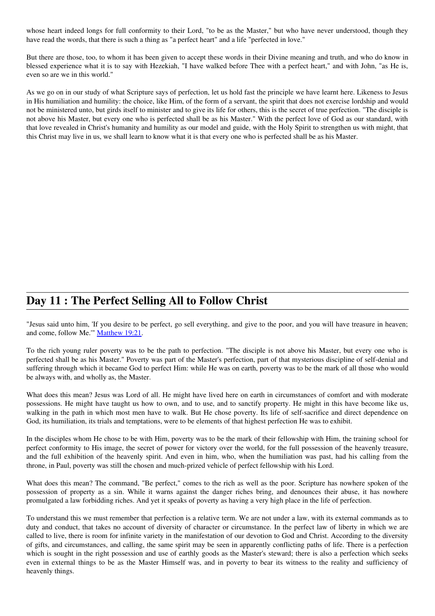whose heart indeed longs for full conformity to their Lord, "to be as the Master," but who have never understood, though they have read the words, that there is such a thing as "a perfect heart" and a life "perfected in love."

But there are those, too, to whom it has been given to accept these words in their Divine meaning and truth, and who do know in blessed experience what it is to say with Hezekiah, "I have walked before Thee with a perfect heart," and with John, "as He is, even so are we in this world."

As we go on in our study of what Scripture says of perfection, let us hold fast the principle we have learnt here. Likeness to Jesus in His humiliation and humility: the choice, like Him, of the form of a servant, the spirit that does not exercise lordship and would not be ministered unto, but girds itself to minister and to give its life for others, this is the secret of true perfection. "The disciple is not above his Master, but every one who is perfected shall be as his Master." With the perfect love of God as our standard, with that love revealed in Christ's humanity and humility as our model and guide, with the Holy Spirit to strengthen us with might, that this Christ may live in us, we shall learn to know what it is that every one who is perfected shall be as his Master.

#### Day 11 : The Perfect Selling All to Follow Christ

"Jesus said unto him, 'If you desire to be perfect, go sell everything, and give to the poor, and you will have treasure in heaven; and come, follow Me." [Matthew 19:21.](http://www.crossbooks.com/verse.asp?ref=Mt+19%3A21)

To the rich young ruler poverty was to be the path to perfection. "The disciple is not above his Master, but every one who is perfected shall be as his Master." Poverty was part of the Master's perfection, part of that mysterious discipline of self-denial and suffering through which it became God to perfect Him: while He was on earth, poverty was to be the mark of all those who would be always with, and wholly as, the Master.

What does this mean? Jesus was Lord of all. He might have lived here on earth in circumstances of comfort and with moderate possessions. He might have taught us how to own, and to use, and to sanctify property. He might in this have become like us, walking in the path in which most men have to walk. But He chose poverty. Its life of self-sacrifice and direct dependence on God, its humiliation, its trials and temptations, were to be elements of that highest perfection He was to exhibit.

In the disciples whom He chose to be with Him, poverty was to be the mark of their fellowship with Him, the training school for perfect conformity to His image, the secret of power for victory over the world, for the full possession of the heavenly treasure, and the full exhibition of the heavenly spirit. And even in him, who, when the humiliation was past, had his calling from the throne, in Paul, poverty was still the chosen and much-prized vehicle of perfect fellowship with his Lord.

What does this mean? The command, "Be perfect," comes to the rich as well as the poor. Scripture has nowhere spoken of the possession of property as a sin. While it warns against the danger riches bring, and denounces their abuse, it has nowhere promulgated a law forbidding riches. And yet it speaks of poverty as having a very high place in the life of perfection.

To understand this we must remember that perfection is a relative term. We are not under a law, with its external commands as to duty and conduct, that takes no account of diversity of character or circumstance. In the perfect law of liberty in which we are called to live, there is room for infinite variety in the manifestation of our devotion to God and Christ. According to the diversity of gifts, and circumstances, and calling, the same spirit may be seen in apparently conflicting paths of life. There is a perfection which is sought in the right possession and use of earthly goods as the Master's steward; there is also a perfection which seeks even in external things to be as the Master Himself was, and in poverty to bear its witness to the reality and sufficiency of heavenly things.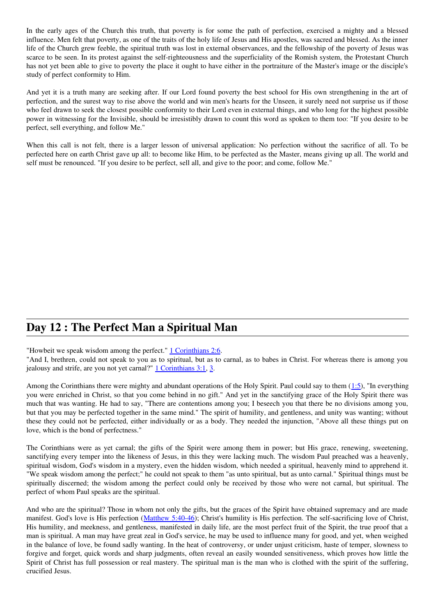In the early ages of the Church this truth, that poverty is for some the path of perfection, exercised a mighty and a blessed influence. Men felt that poverty, as one of the traits of the holy life of Jesus and His apostles, was sacred and blessed. As the inner life of the Church grew feeble, the spiritual truth was lost in external observances, and the fellowship of the poverty of Jesus was scarce to be seen. In its protest against the selfrighteousness and the superficiality of the Romish system, the Protestant Church has not yet been able to give to poverty the place it ought to have either in the portraiture of the Master's image or the disciple's study of perfect conformity to Him.

And yet it is a truth many are seeking after. If our Lord found poverty the best school for His own strengthening in the art of perfection, and the surest way to rise above the world and win men's hearts for the Unseen, it surely need not surprise us if those who feel drawn to seek the closest possible conformity to their Lord even in external things, and who long for the highest possible power in witnessing for the Invisible, should be irresistibly drawn to count this word as spoken to them too: "If you desire to be perfect, sell everything, and follow Me."

When this call is not felt, there is a larger lesson of universal application: No perfection without the sacrifice of all. To be perfected here on earth Christ gave up all: to become like Him, to be perfected as the Master, means giving up all. The world and self must be renounced. "If you desire to be perfect, sell all, and give to the poor; and come, follow Me."

#### Day 12 : The Perfect Man a Spiritual Man

"Howbeit we speak wisdom among the perfect." [1 Corinthians 2:6.](http://www.crossbooks.com/verse.asp?ref=1Co+2%3A6)

"And I, brethren, could not speak to you as to spiritual, but as to carnal, as to babes in Christ. For whereas there is among you jealousy and strife, are you not yet carnal?" [1 Corinthians 3:1,](http://www.crossbooks.com/verse.asp?ref=1Co+3%3A1) [3.](http://www.crossbooks.com/verse.asp?ref=1Co+3%3A3)

Among the Corinthians there were mighty and abundant operations of the Holy Spirit. Paul could say to them [\(1:5\)](http://www.crossbooks.com/verse.asp?ref=1Co+1%3A5), "In everything you were enriched in Christ, so that you come behind in no gift." And yet in the sanctifying grace of the Holy Spirit there was much that was wanting. He had to say, "There are contentions among you; I beseech you that there be no divisions among you, but that you may be perfected together in the same mind." The spirit of humility, and gentleness, and unity was wanting; without these they could not be perfected, either individually or as a body. They needed the injunction, "Above all these things put on love, which is the bond of perfectness."

The Corinthians were as yet carnal; the gifts of the Spirit were among them in power; but His grace, renewing, sweetening, sanctifying every temper into the likeness of Jesus, in this they were lacking much. The wisdom Paul preached was a heavenly, spiritual wisdom, God's wisdom in a mystery, even the hidden wisdom, which needed a spiritual, heavenly mind to apprehend it. "We speak wisdom among the perfect;" he could not speak to them "as unto spiritual, but as unto carnal." Spiritual things must be spiritually discerned; the wisdom among the perfect could only be received by those who were not carnal, but spiritual. The perfect of whom Paul speaks are the spiritual.

And who are the spiritual? Those in whom not only the gifts, but the graces of the Spirit have obtained supremacy and are made manifest. God's love is His perfection (Matthew 5:40-46); Christ's humility is His perfection. The self-sacrificing love of Christ, His humility, and meekness, and gentleness, manifested in daily life, are the most perfect fruit of the Spirit, the true proof that a man is spiritual. A man may have great zeal in God's service, he may be used to influence many for good, and yet, when weighed in the balance of love, be found sadly wanting. In the heat of controversy, or under unjust criticism, haste of temper, slowness to forgive and forget, quick words and sharp judgments, often reveal an easily wounded sensitiveness, which proves how little the Spirit of Christ has full possession or real mastery. The spiritual man is the man who is clothed with the spirit of the suffering, crucified Jesus.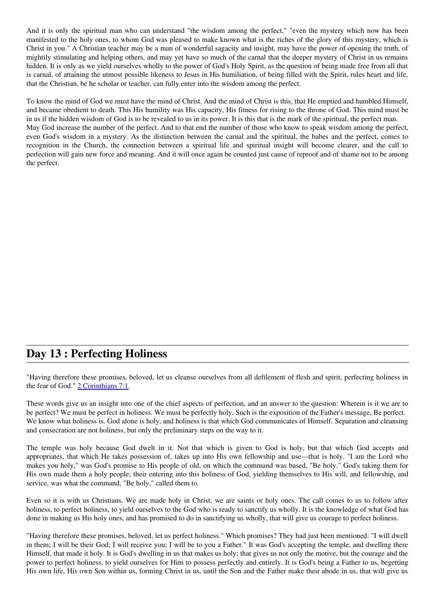And it is only the spiritual man who can understand "the wisdom among the perfect," "even the mystery which now has been manifested to the holy ones, to whom God was pleased to make known what is the riches of the glory of this mystery, which is Christ in you." A Christian teacher may be a man of wonderful sagacity and insight, may have the power of opening the truth, of mightily stimulating and helping others, and may yet have so much of the carnal that the deeper mystery of Christ in us remains hidden. It is only as we yield ourselves wholly to the power of God's Holy Spirit, as the question of being made free from all that is carnal, of attaining the utmost possible likeness to Jesus in His humiliation, of being filled with the Spirit, rules heart and life, that the Christian, be he scholar or teacher, can fully enter into the wisdom among the perfect.

To know the mind of God we must have the mind of Christ. And the mind of Christ is this, that He emptied and humbled Himself, and became obedient to death. This His humility was His capacity, His fitness for rising to the throne of God. This mind must be in us if the hidden wisdom of God is to be revealed to us in its power. It is this that is the mark of the spiritual, the perfect man. May God increase the number of the perfect. And to that end the number of those who know to speak wisdom among the perfect, even God's wisdom in a mystery. As the distinction between the carnal and the spiritual, the babes and the perfect, comes to recognition in the Church, the connection between a spiritual life and spiritual insight will become clearer, and the call to perfection will gain new force and meaning. And it will once again be counted just cause of reproof and of shame not to be among the perfect.

#### Day 13 : Perfecting Holiness

"Having therefore these promises, beloved, let us cleanse ourselves from all defilement of flesh and spirit, perfecting holiness in the fear of God." [2 Corinthians 7:1.](http://www.crossbooks.com/verse.asp?ref=2Co+7%3A1)

These words give us an insight into one of the chief aspects of perfection, and an answer to the question: Wherein is it we are to be perfect? We must be perfect in holiness. We must be perfectly holy. Such is the exposition of the Father's message, Be perfect. We know what holiness is. God alone is holy, and holiness is that which God communicates of Himself. Separation and cleansing and consecration are not holiness, but only the preliminary steps on the way to it.

The temple was holy because God dwelt in it. Not that which is given to God is holy, but that which God accepts and appropriates, that which He takes possession of, takes up into His own fellowship and use—that is holy. "I am the Lord who makes you holy," was God's promise to His people of old, on which the command was based, "Be holy." God's taking them for His own made them a holy people; their entering into this holiness of God, yielding themselves to His will, and fellowship, and service, was what the command, "Be holy," called them to.

Even so it is with us Christians. We are made holy in Christ; we are saints or holy ones. The call comes to us to follow after holiness, to perfect holiness, to yield ourselves to the God who is ready to sanctify us wholly. It is the knowledge of what God has done in making us His holy ones, and has promised to do in sanctifying us wholly, that will give us courage to perfect holiness.

"Having therefore these promises, beloved, let us perfect holiness." Which promises? They had just been mentioned: "I will dwell in them; I will be their God; I will receive you; I will be to you a Father." It was God's accepting the temple, and dwelling there Himself, that made it holy. It is God's dwelling in us that makes us holy; that gives us not only the motive, but the courage and the power to perfect holiness, to yield ourselves for Him to possess perfectly and entirely. It is God's being a Father to us, begetting His own life, His own Son within us, forming Christ in us, until the Son and the Father make their abode in us, that will give us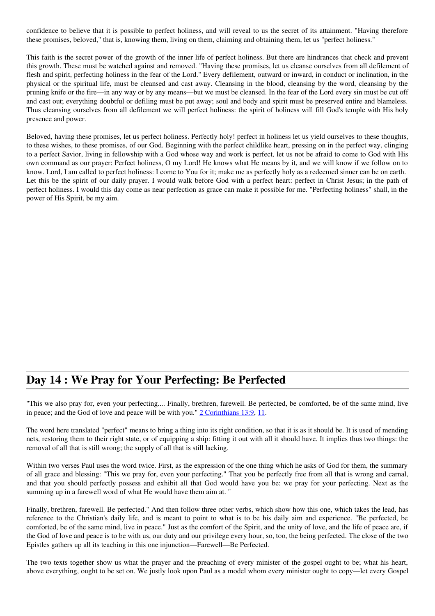confidence to believe that it is possible to perfect holiness, and will reveal to us the secret of its attainment. "Having therefore these promises, beloved," that is, knowing them, living on them, claiming and obtaining them, let us "perfect holiness."

This faith is the secret power of the growth of the inner life of perfect holiness. But there are hindrances that check and prevent this growth. These must be watched against and removed. "Having these promises, let us cleanse ourselves from all defilement of flesh and spirit, perfecting holiness in the fear of the Lord." Every defilement, outward or inward, in conduct or inclination, in the physical or the spiritual life, must be cleansed and cast away. Cleansing in the blood, cleansing by the word, cleansing by the pruning knife or the fire—in any way or by any means—but we must be cleansed. In the fear of the Lord every sin must be cut off and cast out; everything doubtful or defiling must be put away; soul and body and spirit must be preserved entire and blameless. Thus cleansing ourselves from all defilement we will perfect holiness: the spirit of holiness will fill God's temple with His holy presence and power.

Beloved, having these promises, let us perfect holiness. Perfectly holy! perfect in holiness let us yield ourselves to these thoughts, to these wishes, to these promises, of our God. Beginning with the perfect childlike heart, pressing on in the perfect way, clinging to a perfect Savior, living in fellowship with a God whose way and work is perfect, let us not be afraid to come to God with His own command as our prayer: Perfect holiness, O my Lord! He knows what He means by it, and we will know if we follow on to know. Lord, I am called to perfect holiness: I come to You for it; make me as perfectly holy as a redeemed sinner can be on earth. Let this be the spirit of our daily prayer. I would walk before God with a perfect heart: perfect in Christ Jesus; in the path of perfect holiness. I would this day come as near perfection as grace can make it possible for me. "Perfecting holiness" shall, in the power of His Spirit, be my aim.

## Day 14 : We Pray for Your Perfecting: Be Perfected

"This we also pray for, even your perfecting.... Finally, brethren, farewell. Be perfected, be comforted, be of the same mind, live in peace; and the God of love and peace will be with you." [2 Corinthians 13:9,](http://www.crossbooks.com/verse.asp?ref=2Co+13%3A9) [11.](http://www.crossbooks.com/verse.asp?ref=2Co+13%3A11)

The word here translated "perfect" means to bring a thing into its right condition, so that it is as it should be. It is used of mending nets, restoring them to their right state, or of equipping a ship: fitting it out with all it should have. It implies thus two things: the removal of all that is still wrong; the supply of all that is still lacking.

Within two verses Paul uses the word twice. First, as the expression of the one thing which he asks of God for them, the summary of all grace and blessing: "This we pray for, even your perfecting." That you be perfectly free from all that is wrong and carnal, and that you should perfectly possess and exhibit all that God would have you be: we pray for your perfecting. Next as the summing up in a farewell word of what He would have them aim at. "

Finally, brethren, farewell. Be perfected." And then follow three other verbs, which show how this one, which takes the lead, has reference to the Christian's daily life, and is meant to point to what is to be his daily aim and experience. "Be perfected, be comforted, be of the same mind, live in peace." Just as the comfort of the Spirit, and the unity of love, and the life of peace are, if the God of love and peace is to be with us, our duty and our privilege every hour, so, too, the being perfected. The close of the two Epistles gathers up all its teaching in this one injunction—Farewell—Be Perfected.

The two texts together show us what the prayer and the preaching of every minister of the gospel ought to be; what his heart, above everything, ought to be set on. We justly look upon Paul as a model whom every minister ought to copy—let every Gospel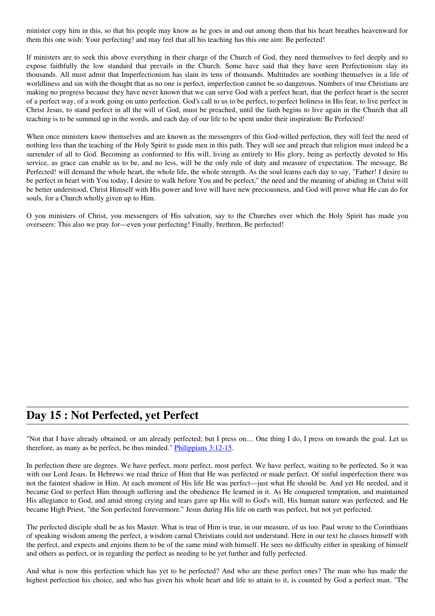minister copy him in this, so that his people may know as he goes in and out among them that his heart breathes heavenward for them this one wish: Your perfecting! and may feel that all his teaching has this one aim: Be perfected!

If ministers are to seek this above everything in their charge of the Church of God, they need themselves to feel deeply and to expose faithfully the low standard that prevails in the Church. Some have said that they have seen Perfectionism slay its thousands. All must admit that Imperfectionism has slain its tens of thousands. Multitudes are soothing themselves in a life of worldliness and sin with the thought that as no one is perfect, imperfection cannot be so dangerous. Numbers of true Christians are making no progress because they have never known that we can serve God with a perfect heart, that the perfect heart is the secret of a perfect way, of a work going on unto perfection. God's call to us to be perfect, to perfect holiness in His fear, to live perfect in Christ Jesus, to stand perfect in all the will of God, must be preached, until the faith begins to live again in the Church that all teaching is to be summed up in the words, and each day of our life to be spent under their inspiration: Be Perfected!

When once ministers know themselves and are known as the messengers of this God-willed perfection, they will feel the need of nothing less than the teaching of the Holy Spirit to guide men in this path. They will see and preach that religion must indeed be a surrender of all to God. Becoming as conformed to His will, living as entirely to His glory, being as perfectly devoted to His service, as grace can enable us to be, and no less, will be the only rule of duty and measure of expectation. The message, Be Perfected! will demand the whole heart, the whole life, the whole strength. As the soul learns each day to say, "Father! I desire to be perfect in heart with You today, I desire to walk before You and be perfect," the need and the meaning of abiding in Christ will be better understood, Christ Himself with His power and love will have new preciousness, and God will prove what He can do for souls, for a Church wholly given up to Him.

O you ministers of Christ, you messengers of His salvation, say to the Churches over which the Holy Spirit has made you overseers: This also we pray for—even your perfecting! Finally, brethren, Be perfected!

#### Day 15 : Not Perfected, yet Perfect

"Not that I have already obtained, or am already perfected; but I press on.... One thing I do, I press on towards the goal. Let us therefore, as many as be perfect, be thus minded."  $\frac{P\{h\}}{P\{h\}}$  3:12-15.

In perfection there are degrees. We have perfect, more perfect, most perfect. We have perfect, waiting to be perfected. So it was with our Lord Jesus. In Hebrews we read thrice of Him that He was perfected or made perfect. Of sinful imperfection there was not the faintest shadow in Him. At each moment of His life He was perfect—just what He should be. And yet He needed, and it became God to perfect Him through suffering and the obedience He learned in it. As He conquered temptation, and maintained His allegiance to God, and amid strong crying and tears gave up His will to God's will, His human nature was perfected, and He became High Priest, "the Son perfected forevermore." Jesus during His life on earth was perfect, but not yet perfected.

The perfected disciple shall be as his Master. What is true of Him is true, in our measure, of us too. Paul wrote to the Corinthians of speaking wisdom among the perfect, a wisdom carnal Christians could not understand. Here in our text he classes himself with the perfect, and expects and enjoins them to be of the same mind with himself. He sees no difficulty either in speaking of himself and others as perfect, or in regarding the perfect as needing to be yet further and fully perfected.

And what is now this perfection which has yet to be perfected? And who are these perfect ones? The man who has made the highest perfection his choice, and who has given his whole heart and life to attain to it, is counted by God a perfect man. "The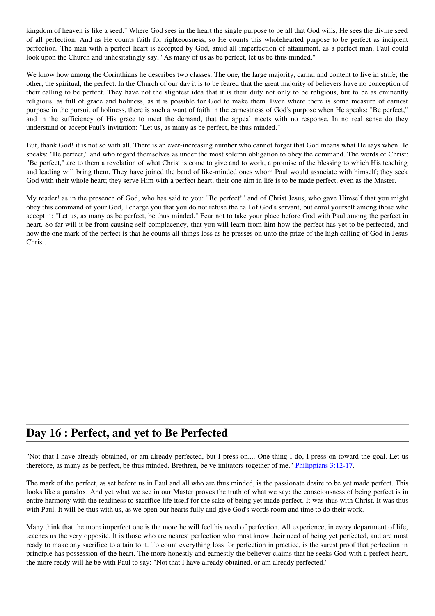kingdom of heaven is like a seed." Where God sees in the heart the single purpose to be all that God wills, He sees the divine seed of all perfection. And as He counts faith for righteousness, so He counts this wholehearted purpose to be perfect as incipient perfection. The man with a perfect heart is accepted by God, amid all imperfection of attainment, as a perfect man. Paul could look upon the Church and unhesitatingly say, "As many of us as be perfect, let us be thus minded."

We know how among the Corinthians he describes two classes. The one, the large majority, carnal and content to live in strife; the other, the spiritual, the perfect. In the Church of our day it is to be feared that the great majority of believers have no conception of their calling to be perfect. They have not the slightest idea that it is their duty not only to be religious, but to be as eminently religious, as full of grace and holiness, as it is possible for God to make them. Even where there is some measure of earnest purpose in the pursuit of holiness, there is such a want of faith in the earnestness of God's purpose when He speaks: "Be perfect," and in the sufficiency of His grace to meet the demand, that the appeal meets with no response. In no real sense do they understand or accept Paul's invitation: "Let us, as many as be perfect, be thus minded."

But, thank God! it is not so with all. There is an everincreasing number who cannot forget that God means what He says when He speaks: "Be perfect," and who regard themselves as under the most solemn obligation to obey the command. The words of Christ: "Be perfect," are to them a revelation of what Christ is come to give and to work, a promise of the blessing to which His teaching and leading will bring them. They have joined the band of like-minded ones whom Paul would associate with himself; they seek God with their whole heart; they serve Him with a perfect heart; their one aim in life is to be made perfect, even as the Master.

My reader! as in the presence of God, who has said to you: "Be perfect!" and of Christ Jesus, who gave Himself that you might obey this command of your God, I charge you that you do not refuse the call of God's servant, but enrol yourself among those who accept it: "Let us, as many as be perfect, be thus minded." Fear not to take your place before God with Paul among the perfect in heart. So far will it be from causing self-complacency, that you will learn from him how the perfect has yet to be perfected, and how the one mark of the perfect is that he counts all things loss as he presses on unto the prize of the high calling of God in Jesus Christ.

## Day 16 : Perfect, and yet to Be Perfected

"Not that I have already obtained, or am already perfected, but I press on.... One thing I do, I press on toward the goal. Let us therefore, as many as be perfect, be thus minded. Brethren, be ye imitators together of me." Philippians 3:12-17.

The mark of the perfect, as set before us in Paul and all who are thus minded, is the passionate desire to be yet made perfect. This looks like a paradox. And yet what we see in our Master proves the truth of what we say: the consciousness of being perfect is in entire harmony with the readiness to sacrifice life itself for the sake of being yet made perfect. It was thus with Christ. It was thus with Paul. It will be thus with us, as we open our hearts fully and give God's words room and time to do their work.

Many think that the more imperfect one is the more he will feel his need of perfection. All experience, in every department of life, teaches us the very opposite. It is those who are nearest perfection who most know their need of being yet perfected, and are most ready to make any sacrifice to attain to it. To count everything loss for perfection in practice, is the surest proof that perfection in principle has possession of the heart. The more honestly and earnestly the believer claims that he seeks God with a perfect heart, the more ready will he be with Paul to say: "Not that I have already obtained, or am already perfected."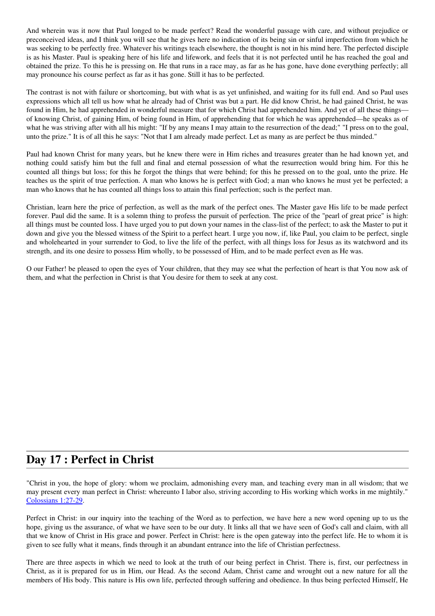And wherein was it now that Paul longed to be made perfect? Read the wonderful passage with care, and without prejudice or preconceived ideas, and I think you will see that he gives here no indication of its being sin or sinful imperfection from which he was seeking to be perfectly free. Whatever his writings teach elsewhere, the thought is not in his mind here. The perfected disciple is as his Master. Paul is speaking here of his life and lifework, and feels that it is not perfected until he has reached the goal and obtained the prize. To this he is pressing on. He that runs in a race may, as far as he has gone, have done everything perfectly; all may pronounce his course perfect as far as it has gone. Still it has to be perfected.

The contrast is not with failure or shortcoming, but with what is as yet unfinished, and waiting for its full end. And so Paul uses expressions which all tell us how what he already had of Christ was but a part. He did know Christ, he had gained Christ, he was found in Him, he had apprehended in wonderful measure that for which Christ had apprehended him. And yet of all these things of knowing Christ, of gaining Him, of being found in Him, of apprehending that for which he was apprehended—he speaks as of what he was striving after with all his might: "If by any means I may attain to the resurrection of the dead;" "I press on to the goal, unto the prize." It is of all this he says: "Not that I am already made perfect. Let as many as are perfect be thus minded."

Paul had known Christ for many years, but he knew there were in Him riches and treasures greater than he had known yet, and nothing could satisfy him but the full and final and eternal possession of what the resurrection would bring him. For this he counted all things but loss; for this he forgot the things that were behind; for this he pressed on to the goal, unto the prize. He teaches us the spirit of true perfection. A man who knows he is perfect with God; a man who knows he must yet be perfected; a man who knows that he has counted all things loss to attain this final perfection; such is the perfect man.

Christian, learn here the price of perfection, as well as the mark of the perfect ones. The Master gave His life to be made perfect forever. Paul did the same. It is a solemn thing to profess the pursuit of perfection. The price of the "pearl of great price" is high: all things must be counted loss. I have urged you to put down your names in the class-list of the perfect; to ask the Master to put it down and give you the blessed witness of the Spirit to a perfect heart. I urge you now, if, like Paul, you claim to be perfect, single and wholehearted in your surrender to God, to live the life of the perfect, with all things loss for Jesus as its watchword and its strength, and its one desire to possess Him wholly, to be possessed of Him, and to be made perfect even as He was.

O our Father! be pleased to open the eyes of Your children, that they may see what the perfection of heart is that You now ask of them, and what the perfection in Christ is that You desire for them to seek at any cost.

#### Day 17 : Perfect in Christ

"Christ in you, the hope of glory: whom we proclaim, admonishing every man, and teaching every man in all wisdom; that we may present every man perfect in Christ: whereunto I labor also, striving according to His working which works in me mightily." Colossians 1:27-29.

Perfect in Christ: in our inquiry into the teaching of the Word as to perfection, we have here a new word opening up to us the hope, giving us the assurance, of what we have seen to be our duty. It links all that we have seen of God's call and claim, with all that we know of Christ in His grace and power. Perfect in Christ: here is the open gateway into the perfect life. He to whom it is given to see fully what it means, finds through it an abundant entrance into the life of Christian perfectness.

There are three aspects in which we need to look at the truth of our being perfect in Christ. There is, first, our perfectness in Christ, as it is prepared for us in Him, our Head. As the second Adam, Christ came and wrought out a new nature for all the members of His body. This nature is His own life, perfected through suffering and obedience. In thus being perfected Himself, He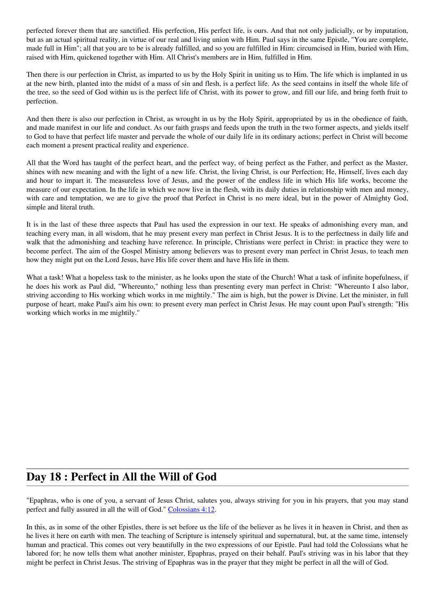perfected forever them that are sanctified. His perfection, His perfect life, is ours. And that not only judicially, or by imputation, but as an actual spiritual reality, in virtue of our real and living union with Him. Paul says in the same Epistle, "You are complete, made full in Him"; all that you are to be is already fulfilled, and so you are fulfilled in Him: circumcised in Him, buried with Him, raised with Him, quickened together with Him. All Christ's members are in Him, fulfilled in Him.

Then there is our perfection in Christ, as imparted to us by the Holy Spirit in uniting us to Him. The life which is implanted in us at the new birth, planted into the midst of a mass of sin and flesh, is a perfect life. As the seed contains in itself the whole life of the tree, so the seed of God within us is the perfect life of Christ, with its power to grow, and fill our life, and bring forth fruit to perfection.

And then there is also our perfection in Christ, as wrought in us by the Holy Spirit, appropriated by us in the obedience of faith, and made manifest in our life and conduct. As our faith grasps and feeds upon the truth in the two former aspects, and yields itself to God to have that perfect life master and pervade the whole of our daily life in its ordinary actions; perfect in Christ will become each moment a present practical reality and experience.

All that the Word has taught of the perfect heart, and the perfect way, of being perfect as the Father, and perfect as the Master, shines with new meaning and with the light of a new life. Christ, the living Christ, is our Perfection; He, Himself, lives each day and hour to impart it. The measureless love of Jesus, and the power of the endless life in which His life works, become the measure of our expectation. In the life in which we now live in the flesh, with its daily duties in relationship with men and money, with care and temptation, we are to give the proof that Perfect in Christ is no mere ideal, but in the power of Almighty God, simple and literal truth.

It is in the last of these three aspects that Paul has used the expression in our text. He speaks of admonishing every man, and teaching every man, in all wisdom, that he may present every man perfect in Christ Jesus. It is to the perfectness in daily life and walk that the admonishing and teaching have reference. In principle, Christians were perfect in Christ: in practice they were to become perfect. The aim of the Gospel Ministry among believers was to present every man perfect in Christ Jesus, to teach men how they might put on the Lord Jesus, have His life cover them and have His life in them.

What a task! What a hopeless task to the minister, as he looks upon the state of the Church! What a task of infinite hopefulness, if he does his work as Paul did, "Whereunto," nothing less than presenting every man perfect in Christ: "Whereunto I also labor, striving according to His working which works in me mightily." The aim is high, but the power is Divine. Let the minister, in full purpose of heart, make Paul's aim his own: to present every man perfect in Christ Jesus. He may count upon Paul's strength: "His working which works in me mightily."

## Day 18 : Perfect in All the Will of God

"Epaphras, who is one of you, a servant of Jesus Christ, salutes you, always striving for you in his prayers, that you may stand perfect and fully assured in all the will of God." [Colossians 4:12.](http://www.crossbooks.com/verse.asp?ref=Col+4%3A12)

In this, as in some of the other Epistles, there is set before us the life of the believer as he lives it in heaven in Christ, and then as he lives it here on earth with men. The teaching of Scripture is intensely spiritual and supernatural, but, at the same time, intensely human and practical. This comes out very beautifully in the two expressions of our Epistle. Paul had told the Colossians what he labored for; he now tells them what another minister, Epaphras, prayed on their behalf. Paul's striving was in his labor that they might be perfect in Christ Jesus. The striving of Epaphras was in the prayer that they might be perfect in all the will of God.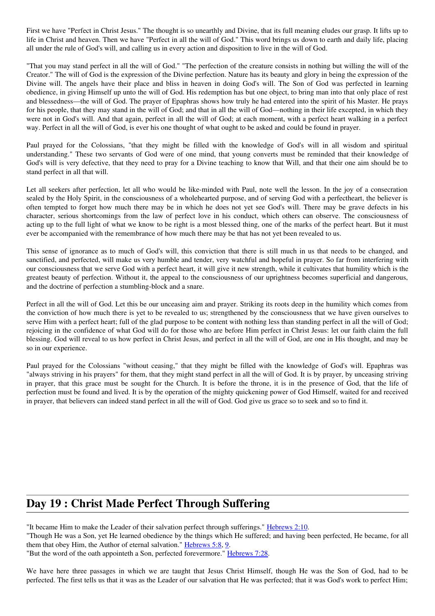First we have "Perfect in Christ Jesus." The thought is so unearthly and Divine, that its full meaning eludes our grasp. It lifts up to life in Christ and heaven. Then we have "Perfect in all the will of God." This word brings us down to earth and daily life, placing all under the rule of God's will, and calling us in every action and disposition to live in the will of God.

"That you may stand perfect in all the will of God." "The perfection of the creature consists in nothing but willing the will of the Creator." The will of God is the expression of the Divine perfection. Nature has its beauty and glory in being the expression of the Divine will. The angels have their place and bliss in heaven in doing God's will. The Son of God was perfected in learning obedience, in giving Himself up unto the will of God. His redemption has but one object, to bring man into that only place of rest and blessedness—the will of God. The prayer of Epaphras shows how truly he had entered into the spirit of his Master. He prays for his people, that they may stand in the will of God; and that in all the will of God—nothing in their life excepted, in which they were not in God's will. And that again, perfect in all the will of God; at each moment, with a perfect heart walking in a perfect way. Perfect in all the will of God, is ever his one thought of what ought to be asked and could be found in prayer.

Paul prayed for the Colossians, "that they might be filled with the knowledge of God's will in all wisdom and spiritual understanding." These two servants of God were of one mind, that young converts must be reminded that their knowledge of God's will is very defective, that they need to pray for a Divine teaching to know that Will, and that their one aim should be to stand perfect in all that will.

Let all seekers after perfection, let all who would be like-minded with Paul, note well the lesson. In the joy of a consecration sealed by the Holy Spirit, in the consciousness of a wholehearted purpose, and of serving God with a perfectheart, the believer is often tempted to forget how much there may be in which he does not yet see God's will. There may be grave defects in his character, serious shortcomings from the law of perfect love in his conduct, which others can observe. The consciousness of acting up to the full light of what we know to be right is a most blessed thing, one of the marks of the perfect heart. But it must ever be accompanied with the remembrance of how much there may be that has not yet been revealed to us.

This sense of ignorance as to much of God's will, this conviction that there is still much in us that needs to be changed, and sanctified, and perfected, will make us very humble and tender, very watchful and hopeful in prayer. So far from interfering with our consciousness that we serve God with a perfect heart, it will give it new strength, while it cultivates that humility which is the greatest beauty of perfection. Without it, the appeal to the consciousness of our uprightness becomes superficial and dangerous, and the doctrine of perfection a stumbling-block and a snare.

Perfect in all the will of God. Let this be our unceasing aim and prayer. Striking its roots deep in the humility which comes from the conviction of how much there is yet to be revealed to us; strengthened by the consciousness that we have given ourselves to serve Him with a perfect heart; full of the glad purpose to be content with nothing less than standing perfect in all the will of God; rejoicing in the confidence of what God will do for those who are before Him perfect in Christ Jesus: let our faith claim the full blessing. God will reveal to us how perfect in Christ Jesus, and perfect in all the will of God, are one in His thought, and may be so in our experience.

Paul prayed for the Colossians "without ceasing," that they might be filled with the knowledge of God's will. Epaphras was "always striving in his prayers" for them, that they might stand perfect in all the will of God. It is by prayer, by unceasing striving in prayer, that this grace must be sought for the Church. It is before the throne, it is in the presence of God, that the life of perfection must be found and lived. It is by the operation of the mighty quickening power of God Himself, waited for and received in prayer, that believers can indeed stand perfect in all the will of God. God give us grace so to seek and so to find it.

#### Day 19 : Christ Made Perfect Through Suffering

"It became Him to make the Leader of their salvation perfect through sufferings." [Hebrews 2:10.](http://www.crossbooks.com/verse.asp?ref=Heb+2%3A10) "Though He was a Son, yet He learned obedience by the things which He suffered; and having been perfected, He became, for all them that obey Him, the Author of eternal salvation." [Hebrews 5:8,](http://www.crossbooks.com/verse.asp?ref=Heb+5%3A8) [9.](http://www.crossbooks.com/verse.asp?ref=Heb+5%3A9) "But the word of the oath appointeth a Son, perfected forevermore." [Hebrews 7:28.](http://www.crossbooks.com/verse.asp?ref=Heb+7%3A28)

We have here three passages in which we are taught that Jesus Christ Himself, though He was the Son of God, had to be perfected. The first tells us that it was as the Leader of our salvation that He was perfected; that it was God's work to perfect Him;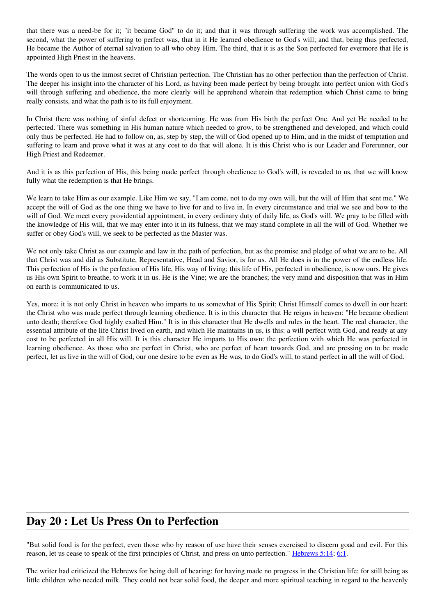that there was a need-be for it; "it became God" to do it; and that it was through suffering the work was accomplished. The second, what the power of suffering to perfect was, that in it He learned obedience to God's will; and that, being thus perfected, He became the Author of eternal salvation to all who obey Him. The third, that it is as the Son perfected for evermore that He is appointed High Priest in the heavens.

The words open to us the inmost secret of Christian perfection. The Christian has no other perfection than the perfection of Christ. The deeper his insight into the character of his Lord, as having been made perfect by being brought into perfect union with God's will through suffering and obedience, the more clearly will he apprehend wherein that redemption which Christ came to bring really consists, and what the path is to its full enjoyment.

In Christ there was nothing of sinful defect or shortcoming. He was from His birth the perfect One. And yet He needed to be perfected. There was something in His human nature which needed to grow, to be strengthened and developed, and which could only thus be perfected. He had to follow on, as, step by step, the will of God opened up to Him, and in the midst of temptation and suffering to learn and prove what it was at any cost to do that will alone. It is this Christ who is our Leader and Forerunner, our High Priest and Redeemer.

And it is as this perfection of His, this being made perfect through obedience to God's will, is revealed to us, that we will know fully what the redemption is that He brings.

We learn to take Him as our example. Like Him we say, "I am come, not to do my own will, but the will of Him that sent me." We accept the will of God as the one thing we have to live for and to live in. In every circumstance and trial we see and bow to the will of God. We meet every providential appointment, in every ordinary duty of daily life, as God's will. We pray to be filled with the knowledge of His will, that we may enter into it in its fulness, that we may stand complete in all the will of God. Whether we suffer or obey God's will, we seek to be perfected as the Master was.

We not only take Christ as our example and law in the path of perfection, but as the promise and pledge of what we are to be. All that Christ was and did as Substitute, Representative, Head and Savior, is for us. All He does is in the power of the endless life. This perfection of His is the perfection of His life, His way of living; this life of His, perfected in obedience, is now ours. He gives us His own Spirit to breathe, to work it in us. He is the Vine; we are the branches; the very mind and disposition that was in Him on earth is communicated to us.

Yes, more; it is not only Christ in heaven who imparts to us somewhat of His Spirit; Christ Himself comes to dwell in our heart: the Christ who was made perfect through learning obedience. It is in this character that He reigns in heaven: "He became obedient unto death; therefore God highly exalted Him." It is in this character that He dwells and rules in the heart. The real character, the essential attribute of the life Christ lived on earth, and which He maintains in us, is this: a will perfect with God, and ready at any cost to be perfected in all His will. It is this character He imparts to His own: the perfection with which He was perfected in learning obedience. As those who are perfect in Christ, who are perfect of heart towards God, and are pressing on to be made perfect, let us live in the will of God, our one desire to be even as He was, to do God's will, to stand perfect in all the will of God.

## Day 20 : Let Us Press On to Perfection

"But solid food is for the perfect, even those who by reason of use have their senses exercised to discern goad and evil. For this reason, let us cease to speak of the first principles of Christ, and press on unto perfection." [Hebrews 5:14;](http://www.crossbooks.com/verse.asp?ref=Heb+5%3A14) [6:1.](http://www.crossbooks.com/verse.asp?ref=Heb+6%3A1)

The writer had criticized the Hebrews for being dull of hearing; for having made no progress in the Christian life; for still being as little children who needed milk. They could not bear solid food, the deeper and more spiritual teaching in regard to the heavenly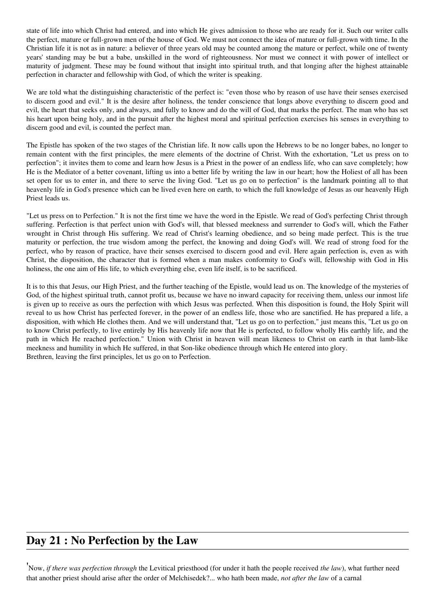state of life into which Christ had entered, and into which He gives admission to those who are ready for it. Such our writer calls the perfect, mature or full-grown men of the house of God. We must not connect the idea of mature or full-grown with time. In the Christian life it is not as in nature: a believer of three years old may be counted among the mature or perfect, while one of twenty years' standing may be but a babe, unskilled in the word of righteousness. Nor must we connect it with power of intellect or maturity of judgment. These may be found without that insight into spiritual truth, and that longing after the highest attainable perfection in character and fellowship with God, of which the writer is speaking.

We are told what the distinguishing characteristic of the perfect is: "even those who by reason of use have their senses exercised to discern good and evil." It is the desire after holiness, the tender conscience that longs above everything to discern good and evil, the heart that seeks only, and always, and fully to know and do the will of God, that marks the perfect. The man who has set his heart upon being holy, and in the pursuit after the highest moral and spiritual perfection exercises his senses in everything to discern good and evil, is counted the perfect man.

The Epistle has spoken of the two stages of the Christian life. It now calls upon the Hebrews to be no longer babes, no longer to remain content with the first principles, the mere elements of the doctrine of Christ. With the exhortation, "Let us press on to perfection"; it invites them to come and learn how Jesus is a Priest in the power of an endless life, who can save completely; how He is the Mediator of a better covenant, lifting us into a better life by writing the law in our heart; how the Holiest of all has been set open for us to enter in, and there to serve the living God. "Let us go on to perfection" is the landmark pointing all to that heavenly life in God's presence which can be lived even here on earth, to which the full knowledge of Jesus as our heavenly High Priest leads us.

"Let us press on to Perfection." It is not the first time we have the word in the Epistle. We read of God's perfecting Christ through suffering. Perfection is that perfect union with God's will, that blessed meekness and surrender to God's will, which the Father wrought in Christ through His suffering. We read of Christ's learning obedience, and so being made perfect. This is the true maturity or perfection, the true wisdom among the perfect, the knowing and doing God's will. We read of strong food for the perfect, who by reason of practice, have their senses exercised to discern good and evil. Here again perfection is, even as with Christ, the disposition, the character that is formed when a man makes conformity to God's will, fellowship with God in His holiness, the one aim of His life, to which everything else, even life itself, is to be sacrificed.

It is to this that Jesus, our High Priest, and the further teaching of the Epistle, would lead us on. The knowledge of the mysteries of God, of the highest spiritual truth, cannot profit us, because we have no inward capacity for receiving them, unless our inmost life is given up to receive as ours the perfection with which Jesus was perfected. When this disposition is found, the Holy Spirit will reveal to us how Christ has perfected forever, in the power of an endless life, those who are sanctified. He has prepared a life, a disposition, with which He clothes them. And we will understand that, "Let us go on to perfection," just means this, "Let us go on to know Christ perfectly, to live entirely by His heavenly life now that He is perfected, to follow wholly His earthly life, and the path in which He reached perfection." Union with Christ in heaven will mean likeness to Christ on earth in that lamb-like meekness and humility in which He suffered, in that Son-like obedience through which He entered into glory. Brethren, leaving the first principles, let us go on to Perfection.

## Day 21 : No Perfection by the Law

'Now, *if there was perfection through* the Levitical priesthood (for under it hath the people received *the law*), what further need that another priest should arise after the order of Melchisedek?... who hath been made, *not after the law* of a carnal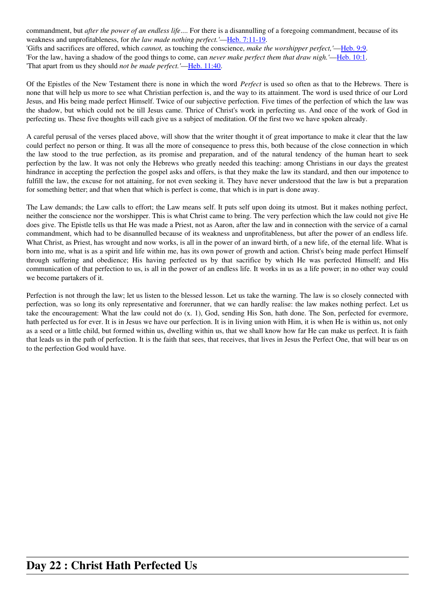commandment, but *after the power of an endless life*.... For there is a disannulling of a foregoing commandment, because of its weakness and unprofitableness, for *the law made nothing perfect*.'—Heb. 7:11-19. 'Gifts and sacrifices are offered, which *cannot,* as touching the conscience, *make the worshipper perfect,'*[—Heb. 9:9.](http://www.crossbooks.com/verse.asp?ref=Heb+9%3A9) 'For the law, having a shadow of the good things to come, can *never make perfect them that draw nigh.'*[—Heb. 10:1.](http://www.crossbooks.com/verse.asp?ref=Heb+10%3A1) 'That apart from us they should *not be made perfect.'*[—Heb. 11:40.](http://www.crossbooks.com/verse.asp?ref=Heb+11%3A40)

Of the Epistles of the New Testament there is none in which the word *Perfect* is used so often as that to the Hebrews. There is none that will help us more to see what Christian perfection is, and the way to its attainment. The word is used thrice of our Lord Jesus, and His being made perfect Himself. Twice of our subjective perfection. Five times of the perfection of which the law was the shadow, but which could not be till Jesus came. Thrice of Christ's work in perfecting us. And once of the work of God in perfecting us. These five thoughts will each give us a subject of meditation. Of the first two we have spoken already.

A careful perusal of the verses placed above, will show that the writer thought it of great importance to make it clear that the law could perfect no person or thing. It was all the more of consequence to press this, both because of the close connection in which the law stood to the true perfection, as its promise and preparation, and of the natural tendency of the human heart to seek perfection by the law. It was not only the Hebrews who greatly needed this teaching: among Christians in our days the greatest hindrance in accepting the perfection the gospel asks and offers, is that they make the law its standard, and then our impotence to fulfill the law, the excuse for not attaining, for not even seeking it. They have never understood that the law is but a preparation for something better; and that when that which is perfect is come, that which is in part is done away.

The Law demands; the Law calls to effort; the Law means self. It puts self upon doing its utmost. But it makes nothing perfect, neither the conscience nor the worshipper. This is what Christ came to bring. The very perfection which the law could not give He does give. The Epistle tells us that He was made a Priest, not as Aaron, after the law and in connection with the service of a carnal commandment, which had to be disannulled because of its weakness and unprofitableness, but after the power of an endless life. What Christ, as Priest, has wrought and now works, is all in the power of an inward birth, of a new life, of the eternal life. What is born into me, what is as a spirit and life within me, has its own power of growth and action. Christ's being made perfect Himself through suffering and obedience; His having perfected us by that sacrifice by which He was perfected Himself; and His communication of that perfection to us, is all in the power of an endless life. It works in us as a life power; in no other way could we become partakers of it.

Perfection is not through the law; let us listen to the blessed lesson. Let us take the warning. The law is so closely connected with perfection, was so long its only representative and forerunner, that we can hardly realise: the law makes nothing perfect. Let us take the encouragement: What the law could not do (x. 1), God, sending His Son, hath done. The Son, perfected for evermore, hath perfected us for ever. It is in Jesus we have our perfection. It is in living union with Him, it is when He is within us, not only as a seed or a little child, but formed within us, dwelling within us, that we shall know how far He can make us perfect. It is faith that leads us in the path of perfection. It is the faith that sees, that receives, that lives in Jesus the Perfect One, that will bear us on to the perfection God would have.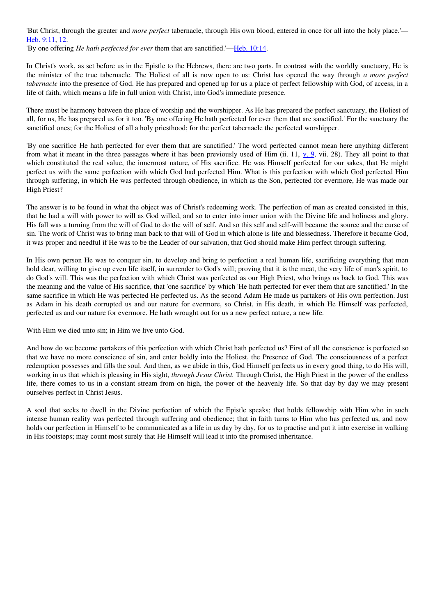'But Christ, through the greater and *more perfect* tabernacle, through His own blood, entered in once for all into the holy place.'— [Heb. 9:11,](http://www.crossbooks.com/verse.asp?ref=Heb+9%3A11) [12.](http://www.crossbooks.com/verse.asp?ref=Heb+9%3A12)

'By one offering *He hath perfected for ever* them that are sanctified.'—*Heb.* 10:14.

In Christ's work, as set before us in the Epistle to the Hebrews, there are two parts. In contrast with the worldly sanctuary, He is the minister of the true tabernacle. The Holiest of all is now open to us: Christ has opened the way through *a more perfect tabernacle* into the presence of God. He has prepared and opened up for us a place of perfect fellowship with God, of access, in a life of faith, which means a life in full union with Christ, into God's immediate presence.

There must be harmony between the place of worship and the worshipper. As He has prepared the perfect sanctuary, the Holiest of all, for us, He has prepared us for it too. 'By one offering He hath perfected for ever them that are sanctified.' For the sanctuary the sanctified ones; for the Holiest of all a holy priesthood; for the perfect tabernacle the perfected worshipper.

'By one sacrifice He hath perfected for ever them that are sanctified.' The word perfected cannot mean here anything different from what it meant in the three passages where it has been previously used of Him (ii. 11,  $\underline{v}$ . 9, vii. 28). They all point to that which constituted the real value, the innermost nature, of His sacrifice. He was Himself perfected for our sakes, that He might perfect us with the same perfection with which God had perfected Him. What is this perfection with which God perfected Him through suffering, in which He was perfected through obedience, in which as the Son, perfected for evermore, He was made our High Priest?

The answer is to be found in what the object was of Christ's redeeming work. The perfection of man as created consisted in this, that he had a will with power to will as God willed, and so to enter into inner union with the Divine life and holiness and glory. His fall was a turning from the will of God to do the will of self. And so this self and self-will became the source and the curse of sin. The work of Christ was to bring man back to that will of God in which alone is life and blessedness. Therefore it became God, it was proper and needful if He was to be the Leader of our salvation, that God should make Him perfect through suffering.

In His own person He was to conquer sin, to develop and bring to perfection a real human life, sacrificing everything that men hold dear, willing to give up even life itself, in surrender to God's will; proving that it is the meat, the very life of man's spirit, to do God's will. This was the perfection with which Christ was perfected as our High Priest, who brings us back to God. This was the meaning and the value of His sacrifice, that 'one sacrifice' by which 'He hath perfected for ever them that are sanctified.' In the same sacrifice in which He was perfected He perfected us. As the second Adam He made us partakers of His own perfection. Just as Adam in his death corrupted us and our nature for evermore, so Christ, in His death, in which He Himself was perfected, perfected us and our nature for evermore. He hath wrought out for us a new perfect nature, a new life.

With Him we died unto sin; in Him we live unto God.

And how do we become partakers of this perfection with which Christ hath perfected us? First of all the conscience is perfected so that we have no more conscience of sin, and enter boldly into the Holiest, the Presence of God. The consciousness of a perfect redemption possesses and fills the soul. And then, as we abide in this, God Himself perfects us in every good thing, to do His will, working in us that which is pleasing in His sight, *through Jesus Christ.* Through Christ, the High Priest in the power of the endless life, there comes to us in a constant stream from on high, the power of the heavenly life. So that day by day we may present ourselves perfect in Christ Jesus.

A soul that seeks to dwell in the Divine perfection of which the Epistle speaks; that holds fellowship with Him who in such intense human reality was perfected through suffering and obedience; that in faith turns to Him who has perfected us, and now holds our perfection in Himself to be communicated as a life in us day by day, for us to practise and put it into exercise in walking in His footsteps; may count most surely that He Himself will lead it into the promised inheritance.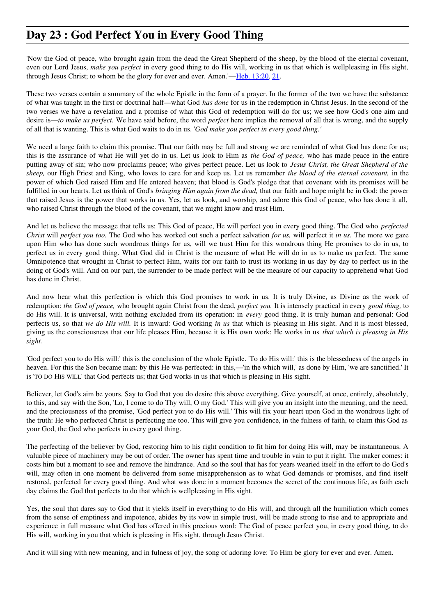## Day 23 : God Perfect You in Every Good Thing

'Now the God of peace, who brought again from the dead the Great Shepherd of the sheep, by the blood of the eternal covenant, even our Lord Jesus, *make you perfect* in every good thing to do His will, working in us that which is wellpleasing in His sight, through Jesus Christ; to whom be the glory for ever and ever. Amen.'[—Heb. 13:20,](http://www.crossbooks.com/verse.asp?ref=Heb+13%3A20) [21.](http://www.crossbooks.com/verse.asp?ref=Heb+13%3A21)

These two verses contain a summary of the whole Epistle in the form of a prayer. In the former of the two we have the substance of what was taught in the first or doctrinal half—what God *has done* for us in the redemption in Christ Jesus. In the second of the two verses we have a revelation and a promise of what this God of redemption will do for us; we see how God's one aim and desire is—*to make us perfect.* We have said before, the word *perfect* here implies the removal of all that is wrong, and the supply of all that is wanting. This is what God waits to do in us. '*God make you perfect in every good thing.'*

We need a large faith to claim this promise. That our faith may be full and strong we are reminded of what God has done for us; this is the assurance of what He will yet do in us. Let us look to Him as *the God of peace,* who has made peace in the entire putting away of sin; who now proclaims peace; who gives perfect peace. Let us look to *Jesus Christ, the Great Shepherd of the sheep,* our High Priest and King, who loves to care for and keep us. Let us remember *the blood of the eternal covenant,* in the power of which God raised Him and He entered heaven; that blood is God's pledge that that covenant with its promises will be fulfilled in our hearts. Let us think of God's *bringing Him again from the dead,* that our faith and hope might be in God: the power that raised Jesus is the power that works in us. Yes, let us look, and worship, and adore this God of peace, who has done it all, who raised Christ through the blood of the covenant, that we might know and trust Him.

And let us believe the message that tells us: This God of peace, He will perfect you in every good thing. The God who *perfected Christ* will *perfect you too.* The God who has worked out such a perfect salvation *for us,* will perfect it *in us.* The more we gaze upon Him who has done such wondrous things for us, will we trust Him for this wondrous thing He promises to do in us, to perfect us in every good thing. What God did in Christ is the measure of what He will do in us to make us perfect. The same Omnipotence that wrought in Christ to perfect Him, waits for our faith to trust its working in us day by day to perfect us in the doing of God's will. And on our part, the surrender to be made perfect will be the measure of our capacity to apprehend what God has done in Christ.

And now hear what this perfection is which this God promises to work in us. It is truly Divine, as Divine as the work of redemption: *the God of peace,* who brought again Christ from the dead, *perfect you.* It is intensely practical in every *good thing,* to do His will. It is universal, with nothing excluded from its operation: in *every* good thing. It is truly human and personal: God perfects us, so that *we do His will.* It is inward: God working *in us* that which is pleasing in His sight. And it is most blessed, giving us the consciousness that our life pleases Him, because it is His own work: He works in us *that which is pleasing in His sight.*

'God perfect you to do His will:' this is the conclusion of the whole Epistle. 'To do His will:' this is the blessedness of the angels in heaven. For this the Son became man: by this He was perfected: in this,—'in the which will,' as done by Him, 'we are sanctified.' It is 'TO DO HIS WILL' that God perfects us; that God works in us that which is pleasing in His sight.

Believer, let God's aim be yours. Say to God that you do desire this above everything. Give yourself, at once, entirely, absolutely, to this, and say with the Son, 'Lo, I come to do Thy will, O my God.' This will give you an insight into the meaning, and the need, and the preciousness of the promise, 'God perfect you to do His will.' This will fix your heart upon God in the wondrous light of the truth: He who perfected Christ is perfecting me too. This will give you confidence, in the fulness of faith, to claim this God as your God, the God who perfects in every good thing.

The perfecting of the believer by God, restoring him to his right condition to fit him for doing His will, may be instantaneous. A valuable piece of machinery may be out of order. The owner has spent time and trouble in vain to put it right. The maker comes: it costs him but a moment to see and remove the hindrance. And so the soul that has for years wearied itself in the effort to do God's will, may often in one moment be delivered from some misapprehension as to what God demands or promises, and find itself restored, perfected for every good thing. And what was done in a moment becomes the secret of the continuous life, as faith each day claims the God that perfects to do that which is wellpleasing in His sight.

Yes, the soul that dares say to God that it yields itself in everything to do His will, and through all the humiliation which comes from the sense of emptiness and impotence, abides by its vow in simple trust, will be made strong to rise and to appropriate and experience in full measure what God has offered in this precious word: The God of peace perfect you, in every good thing, to do His will, working in you that which is pleasing in His sight, through Jesus Christ.

And it will sing with new meaning, and in fulness of joy, the song of adoring love: To Him be glory for ever and ever. Amen.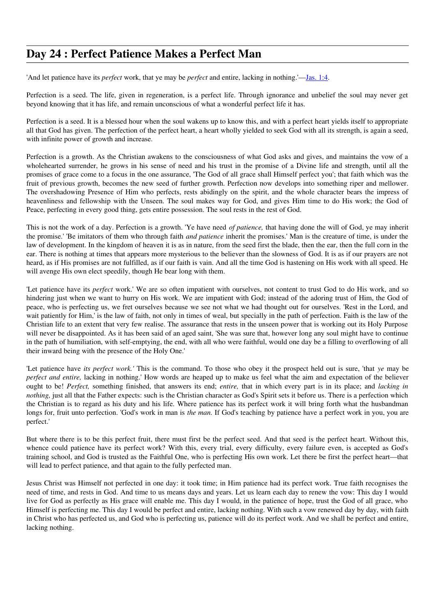## Day 24 : Perfect Patience Makes a Perfect Man

'And let patience have its *perfect* work, that ye may be *perfect* and entire, lacking in nothing.'[—Jas. 1:4.](http://www.crossbooks.com/verse.asp?ref=Jas+1%3A4)

Perfection is a seed. The life, given in regeneration, is a perfect life. Through ignorance and unbelief the soul may never get beyond knowing that it has life, and remain unconscious of what a wonderful perfect life it has.

Perfection is a seed. It is a blessed hour when the soul wakens up to know this, and with a perfect heart yields itself to appropriate all that God has given. The perfection of the perfect heart, a heart wholly yielded to seek God with all its strength, is again a seed, with infinite power of growth and increase.

Perfection is a growth. As the Christian awakens to the consciousness of what God asks and gives, and maintains the vow of a wholehearted surrender, he grows in his sense of need and his trust in the promise of a Divine life and strength, until all the promises of grace come to a focus in the one assurance, 'The God of all grace shall Himself perfect you'; that faith which was the fruit of previous growth, becomes the new seed of further growth. Perfection now develops into something riper and mellower. The overshadowing Presence of Him who perfects, rests abidingly on the spirit, and the whole character bears the impress of heavenliness and fellowship with the Unseen. The soul makes way for God, and gives Him time to do His work; the God of Peace, perfecting in every good thing, gets entire possession. The soul rests in the rest of God.

This is not the work of a day. Perfection is a growth. 'Ye have need *of patience,* that having done the will of God, ye may inherit the promise.' 'Be imitators of them who through faith *and patience* inherit the promises.' Man is the creature of time, is under the law of development. In the kingdom of heaven it is as in nature, from the seed first the blade, then the ear, then the full corn in the ear. There is nothing at times that appears more mysterious to the believer than the slowness of God. It is as if our prayers are not heard, as if His promises are not fulfilled, as if our faith is vain. And all the time God is hastening on His work with all speed. He will avenge His own elect speedily, though He bear long with them.

'Let patience have its *perfect* work.' We are so often impatient with ourselves, not content to trust God to do His work, and so hindering just when we want to hurry on His work. We are impatient with God; instead of the adoring trust of Him, the God of peace, who is perfecting us, we fret ourselves because we see not what we had thought out for ourselves. 'Rest in the Lord, and wait patiently for Him,' is the law of faith, not only in times of weal, but specially in the path of perfection. Faith is the law of the Christian life to an extent that very few realise. The assurance that rests in the unseen power that is working out its Holy Purpose will never be disappointed. As it has been said of an aged saint, 'She was sure that, however long any soul might have to continue in the path of humiliation, with self-emptying, the end, with all who were faithful, would one day be a filling to overflowing of all their inward being with the presence of the Holy One.'

'Let patience have *its perfect work.'* This is the command. To those who obey it the prospect held out is sure, 'that *ye* may be *perfect and entire,* lacking in nothing.' How words are heaped up to make us feel what the aim and expectation of the believer ought to be! Perfect, something finished, that answers its end; entire, that in which every part is in its place; and lacking in *nothing*, just all that the Father expects: such is the Christian character as God's Spirit sets it before us. There is a perfection which the Christian is to regard as his duty and his life. Where patience has its perfect work it will bring forth what the husbandman longs for, fruit unto perfection. 'God's work in man is *the man*. If God's teaching by patience have a perfect work in you, you are perfect.'

But where there is to be this perfect fruit, there must first be the perfect seed. And that seed is the perfect heart. Without this, whence could patience have its perfect work? With this, every trial, every difficulty, every failure even, is accepted as God's training school, and God is trusted as the Faithful One, who is perfecting His own work. Let there be first the perfect heart—that will lead to perfect patience, and that again to the fully perfected man.

Jesus Christ was Himself not perfected in one day: it took time; in Him patience had its perfect work. True faith recognises the need of time, and rests in God. And time to us means days and years. Let us learn each day to renew the vow: This day I would live for God as perfectly as His grace will enable me. This day I would, in the patience of hope, trust the God of all grace, who Himself is perfecting me. This day I would be perfect and entire, lacking nothing. With such a vow renewed day by day, with faith in Christ who has perfected us, and God who is perfecting us, patience will do its perfect work. And we shall be perfect and entire, lacking nothing.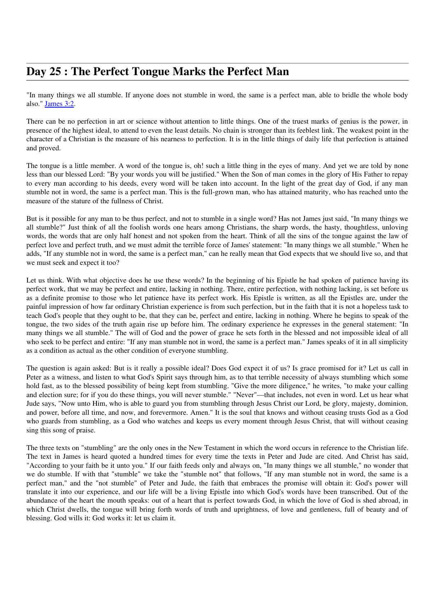## Day 25 : The Perfect Tongue Marks the Perfect Man

"In many things we all stumble. If anyone does not stumble in word, the same is a perfect man, able to bridle the whole body also." [James 3:2.](http://www.crossbooks.com/verse.asp?ref=Jas+3%3A2)

There can be no perfection in art or science without attention to little things. One of the truest marks of genius is the power, in presence of the highest ideal, to attend to even the least details. No chain is stronger than its feeblest link. The weakest point in the character of a Christian is the measure of his nearness to perfection. It is in the little things of daily life that perfection is attained and proved.

The tongue is a little member. A word of the tongue is, oh! such a little thing in the eyes of many. And yet we are told by none less than our blessed Lord: "By your words you will be justified." When the Son of man comes in the glory of His Father to repay to every man according to his deeds, every word will be taken into account. In the light of the great day of God, if any man stumble not in word, the same is a perfect man. This is the full-grown man, who has attained maturity, who has reached unto the measure of the stature of the fullness of Christ.

But is it possible for any man to be thus perfect, and not to stumble in a single word? Has not James just said, "In many things we all stumble?" Just think of all the foolish words one hears among Christians, the sharp words, the hasty, thoughtless, unloving words, the words that are only half honest and not spoken from the heart. Think of all the sins of the tongue against the law of perfect love and perfect truth, and we must admit the terrible force of James' statement: "In many things we all stumble." When he adds, "If any stumble not in word, the same is a perfect man," can he really mean that God expects that we should live so, and that we must seek and expect it too?

Let us think. With what objective does he use these words? In the beginning of his Epistle he had spoken of patience having its perfect work, that we may be perfect and entire, lacking in nothing. There, entire perfection, with nothing lacking, is set before us as a definite promise to those who let patience have its perfect work. His Epistle is written, as all the Epistles are, under the painful impression of how far ordinary Christian experience is from such perfection, but in the faith that it is not a hopeless task to teach God's people that they ought to be, that they can be, perfect and entire, lacking in nothing. Where he begins to speak of the tongue, the two sides of the truth again rise up before him. The ordinary experience he expresses in the general statement: "In many things we all stumble." The will of God and the power of grace he sets forth in the blessed and not impossible ideal of all who seek to be perfect and entire: "If any man stumble not in word, the same is a perfect man." James speaks of it in all simplicity as a condition as actual as the other condition of everyone stumbling.

The question is again asked: But is it really a possible ideal? Does God expect it of us? Is grace promised for it? Let us call in Peter as a witness, and listen to what God's Spirit says through him, as to that terrible necessity of always stumbling which some hold fast, as to the blessed possibility of being kept from stumbling. "Give the more diligence," he writes, "to make your calling and election sure; for if you do these things, you will never stumble." "Never"—that includes, not even in word. Let us hear what Jude says, "Now unto Him, who is able to guard you from stumbling through Jesus Christ our Lord, be glory, majesty, dominion, and power, before all time, and now, and forevermore. Amen." It is the soul that knows and without ceasing trusts God as a God who guards from stumbling, as a God who watches and keeps us every moment through Jesus Christ, that will without ceasing sing this song of praise.

The three texts on "stumbling" are the only ones in the New Testament in which the word occurs in reference to the Christian life. The text in James is heard quoted a hundred times for every time the texts in Peter and Jude are cited. And Christ has said, "According to your faith be it unto you." If our faith feeds only and always on, "In many things we all stumble," no wonder that we do stumble. If with that "stumble" we take the "stumble not" that follows, "If any man stumble not in word, the same is a perfect man," and the "not stumble" of Peter and Jude, the faith that embraces the promise will obtain it: God's power will translate it into our experience, and our life will be a living Epistle into which God's words have been transcribed. Out of the abundance of the heart the mouth speaks: out of a heart that is perfect towards God, in which the love of God is shed abroad, in which Christ dwells, the tongue will bring forth words of truth and uprightness, of love and gentleness, full of beauty and of blessing. God wills it: God works it: let us claim it.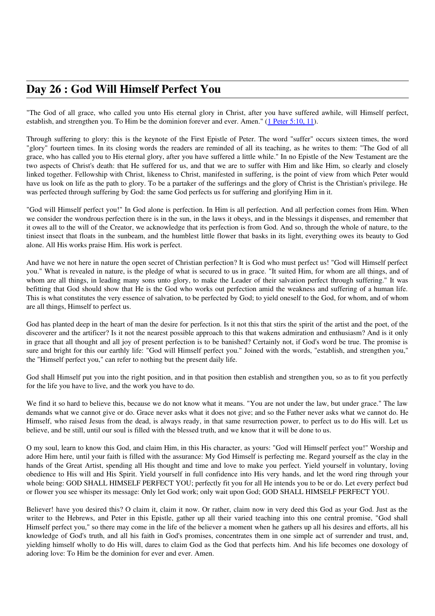## Day 26 : God Will Himself Perfect You

"The God of all grace, who called you unto His eternal glory in Christ, after you have suffered awhile, will Himself perfect, establish, and strengthen you. To Him be the dominion forever and ever. Amen." [\(1 Peter 5:10, 11\)](http://www.crossbooks.com/verse.asp?ref=1Pe+5%3A10-11).

Through suffering to glory: this is the keynote of the First Epistle of Peter. The word "suffer" occurs sixteen times, the word "glory" fourteen times. In its closing words the readers are reminded of all its teaching, as he writes to them: "The God of all grace, who has called you to His eternal glory, after you have suffered a little while." In no Epistle of the New Testament are the two aspects of Christ's death: that He suffered for us, and that we are to suffer with Him and like Him, so clearly and closely linked together. Fellowship with Christ, likeness to Christ, manifested in suffering, is the point of view from which Peter would have us look on life as the path to glory. To be a partaker of the sufferings and the glory of Christ is the Christian's privilege. He was perfected through suffering by God: the same God perfects us for suffering and glorifying Him in it.

"God will Himself perfect you!" In God alone is perfection. In Him is all perfection. And all perfection comes from Him. When we consider the wondrous perfection there is in the sun, in the laws it obeys, and in the blessings it dispenses, and remember that it owes all to the will of the Creator, we acknowledge that its perfection is from God. And so, through the whole of nature, to the tiniest insect that floats in the sunbeam, and the humblest little flower that basks in its light, everything owes its beauty to God alone. All His works praise Him. His work is perfect.

And have we not here in nature the open secret of Christian perfection? It is God who must perfect us! "God will Himself perfect you." What is revealed in nature, is the pledge of what is secured to us in grace. "It suited Him, for whom are all things, and of whom are all things, in leading many sons unto glory, to make the Leader of their salvation perfect through suffering." It was befitting that God should show that He is the God who works out perfection amid the weakness and suffering of a human life. This is what constitutes the very essence of salvation, to be perfected by God; to yield oneself to the God, for whom, and of whom are all things, Himself to perfect us.

God has planted deep in the heart of man the desire for perfection. Is it not this that stirs the spirit of the artist and the poet, of the discoverer and the artificer? Is it not the nearest possible approach to this that wakens admiration and enthusiasm? And is it only in grace that all thought and all joy of present perfection is to be banished? Certainly not, if God's word be true. The promise is sure and bright for this our earthly life: "God will Himself perfect you." Joined with the words, "establish, and strengthen you," the "Himself perfect you," can refer to nothing but the present daily life.

God shall Himself put you into the right position, and in that position then establish and strengthen you, so as to fit you perfectly for the life you have to live, and the work you have to do.

We find it so hard to believe this, because we do not know what it means. "You are not under the law, but under grace." The law demands what we cannot give or do. Grace never asks what it does not give; and so the Father never asks what we cannot do. He Himself, who raised Jesus from the dead, is always ready, in that same resurrection power, to perfect us to do His will. Let us believe, and be still, until our soul is filled with the blessed truth, and we know that it will be done to us.

O my soul, learn to know this God, and claim Him, in this His character, as yours: "God will Himself perfect you!" Worship and adore Him here, until your faith is filled with the assurance: My God Himself is perfecting me. Regard yourself as the clay in the hands of the Great Artist, spending all His thought and time and love to make you perfect. Yield yourself in voluntary, loving obedience to His will and His Spirit. Yield yourself in full confidence into His very hands, and let the word ring through your whole being: GOD SHALL HIMSELF PERFECT YOU; perfectly fit you for all He intends you to be or do. Let every perfect bud or flower you see whisper its message: Only let God work; only wait upon God; GOD SHALL HIMSELF PERFECT YOU.

Believer! have you desired this? O claim it, claim it now. Or rather, claim now in very deed this God as your God. Just as the writer to the Hebrews, and Peter in this Epistle, gather up all their varied teaching into this one central promise, "God shall Himself perfect you," so there may come in the life of the believer a moment when he gathers up all his desires and efforts, all his knowledge of God's truth, and all his faith in God's promises, concentrates them in one simple act of surrender and trust, and, yielding himself wholly to do His will, dares to claim God as the God that perfects him. And his life becomes one doxology of adoring love: To Him be the dominion for ever and ever. Amen.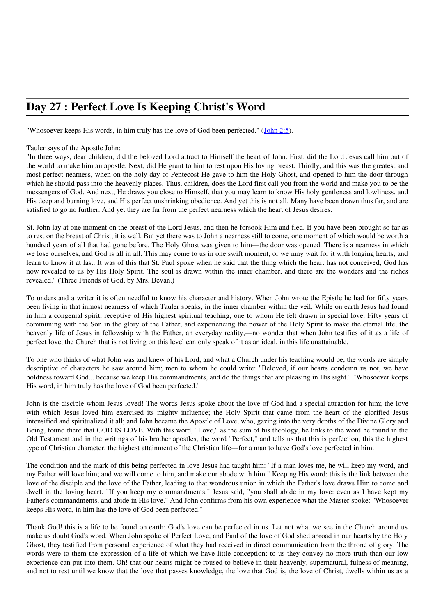## Day 27 : Perfect Love Is Keeping Christ's Word

"Whosoever keeps His words, in him truly has the love of God been perfected." [\(John 2:5\)](http://www.crossbooks.com/verse.asp?ref=Jn+2%3A5).

#### Tauler says of the Apostle John:

"In three ways, dear children, did the beloved Lord attract to Himself the heart of John. First, did the Lord Jesus call him out of the world to make him an apostle. Next, did He grant to him to rest upon His loving breast. Thirdly, and this was the greatest and most perfect nearness, when on the holy day of Pentecost He gave to him the Holy Ghost, and opened to him the door through which he should pass into the heavenly places. Thus, children, does the Lord first call you from the world and make you to be the messengers of God. And next, He draws you close to Himself, that you may learn to know His holy gentleness and lowliness, and His deep and burning love, and His perfect unshrinking obedience. And yet this is not all. Many have been drawn thus far, and are satisfied to go no further. And yet they are far from the perfect nearness which the heart of Jesus desires.

St. John lay at one moment on the breast of the Lord Jesus, and then he forsook Him and fled. If you have been brought so far as to rest on the breast of Christ, it is well. But yet there was to John a nearness still to come, one moment of which would be worth a hundred years of all that had gone before. The Holy Ghost was given to him—the door was opened. There is a nearness in which we lose ourselves, and God is all in all. This may come to us in one swift moment, or we may wait for it with longing hearts, and learn to know it at last. It was of this that St. Paul spoke when he said that the thing which the heart has not conceived, God has now revealed to us by His Holy Spirit. The soul is drawn within the inner chamber, and there are the wonders and the riches revealed." (Three Friends of God, by Mrs. Bevan.)

To understand a writer it is often needful to know his character and history. When John wrote the Epistle he had for fifty years been living in that inmost nearness of which Tauler speaks, in the inner chamber within the veil. While on earth Jesus had found in him a congenial spirit, receptive of His highest spiritual teaching, one to whom He felt drawn in special love. Fifty years of communing with the Son in the glory of the Father, and experiencing the power of the Holy Spirit to make the eternal life, the heavenly life of Jesus in fellowship with the Father, an everyday reality,—no wonder that when John testifies of it as a life of perfect love, the Church that is not living on this level can only speak of it as an ideal, in this life unattainable.

To one who thinks of what John was and knew of his Lord, and what a Church under his teaching would be, the words are simply descriptive of characters he saw around him; men to whom he could write: "Beloved, if our hearts condemn us not, we have boldness toward God... because we keep His commandments, and do the things that are pleasing in His sight." "Whosoever keeps His word, in him truly has the love of God been perfected."

John is the disciple whom Jesus loved! The words Jesus spoke about the love of God had a special attraction for him; the love with which Jesus loved him exercised its mighty influence; the Holy Spirit that came from the heart of the glorified Jesus intensified and spiritualized it all; and John became the Apostle of Love, who, gazing into the very depths of the Divine Glory and Being, found there that GOD IS LOVE. With this word, "Love," as the sum of his theology, he links to the word he found in the Old Testament and in the writings of his brother apostles, the word "Perfect," and tells us that this is perfection, this the highest type of Christian character, the highest attainment of the Christian life—for a man to have God's love perfected in him.

The condition and the mark of this being perfected in love Jesus had taught him: "If a man loves me, he will keep my word, and my Father will love him; and we will come to him, and make our abode with him." Keeping His word: this is the link between the love of the disciple and the love of the Father, leading to that wondrous union in which the Father's love draws Him to come and dwell in the loving heart. "If you keep my commandments," Jesus said, "you shall abide in my love: even as I have kept my Father's commandments, and abide in His love." And John confirms from his own experience what the Master spoke: "Whosoever keeps His word, in him has the love of God been perfected."

Thank God! this is a life to be found on earth: God's love can be perfected in us. Let not what we see in the Church around us make us doubt God's word. When John spoke of Perfect Love, and Paul of the love of God shed abroad in our hearts by the Holy Ghost, they testified from personal experience of what they had received in direct communication from the throne of glory. The words were to them the expression of a life of which we have little conception; to us they convey no more truth than our low experience can put into them. Oh! that our hearts might be roused to believe in their heavenly, supernatural, fulness of meaning, and not to rest until we know that the love that passes knowledge, the love that God is, the love of Christ, dwells within us as a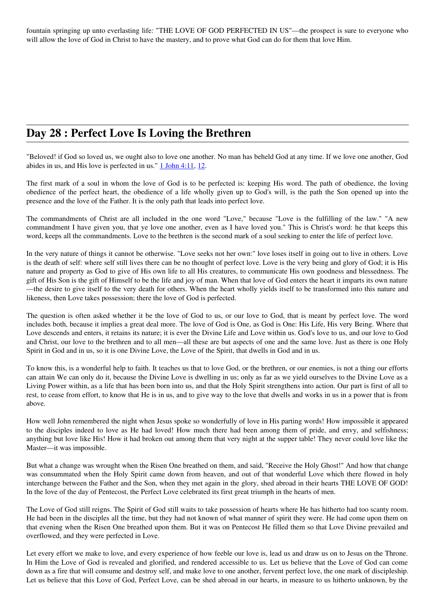fountain springing up unto everlasting life: "THE LOVE OF GOD PERFECTED IN US"—the prospect is sure to everyone who will allow the love of God in Christ to have the mastery, and to prove what God can do for them that love Him.

## Day 28 : Perfect Love Is Loving the Brethren

"Beloved! if God so loved us, we ought also to love one another. No man has beheld God at any time. If we love one another, God abides in us, and His love is perfected in us." [1 John 4:11,](http://www.crossbooks.com/verse.asp?ref=1Jn+4%3A11) [12.](http://www.crossbooks.com/verse.asp?ref=1Jn+4%3A12)

The first mark of a soul in whom the love of God is to be perfected is: keeping His word. The path of obedience, the loving obedience of the perfect heart, the obedience of a life wholly given up to God's will, is the path the Son opened up into the presence and the love of the Father. It is the only path that leads into perfect love.

The commandments of Christ are all included in the one word "Love," because "Love is the fulfilling of the law." "A new commandment I have given you, that ye love one another, even as I have loved you." This is Christ's word: he that keeps this word, keeps all the commandments. Love to the brethren is the second mark of a soul seeking to enter the life of perfect love.

In the very nature of things it cannot be otherwise. "Love seeks not her own:" love loses itself in going out to live in others. Love is the death of self: where self still lives there can be no thought of perfect love. Love is the very being and glory of God; it is His nature and property as God to give of His own life to all His creatures, to communicate His own goodness and blessedness. The gift of His Son is the gift of Himself to be the life and joy of man. When that love of God enters the heart it imparts its own nature —the desire to give itself to the very death for others. When the heart wholly yields itself to be transformed into this nature and likeness, then Love takes possession; there the love of God is perfected.

The question is often asked whether it be the love of God to us, or our love to God, that is meant by perfect love. The word includes both, because it implies a great deal more. The love of God is One, as God is One: His Life, His very Being. Where that Love descends and enters, it retains its nature; it is ever the Divine Life and Love within us. God's love to us, and our love to God and Christ, our love to the brethren and to all men—all these are but aspects of one and the same love. Just as there is one Holy Spirit in God and in us, so it is one Divine Love, the Love of the Spirit, that dwells in God and in us.

To know this, is a wonderful help to faith. It teaches us that to love God, or the brethren, or our enemies, is not a thing our efforts can attain We can only do it, because the Divine Love is dwelling in us; only as far as we yield ourselves to the Divine Love as a Living Power within, as a life that has been born into us, and that the Holy Spirit strengthens into action. Our part is first of all to rest, to cease from effort, to know that He is in us, and to give way to the love that dwells and works in us in a power that is from above.

How well John remembered the night when Jesus spoke so wonderfully of love in His parting words! How impossible it appeared to the disciples indeed to love as He had loved! How much there had been among them of pride, and envy, and selfishness; anything but love like His! How it had broken out among them that very night at the supper table! They never could love like the Master—it was impossible.

But what a change was wrought when the Risen One breathed on them, and said, "Receive the Holy Ghost!" And how that change was consummated when the Holy Spirit came down from heaven, and out of that wonderful Love which there flowed in holy interchange between the Father and the Son, when they met again in the glory, shed abroad in their hearts THE LOVE OF GOD! In the love of the day of Pentecost, the Perfect Love celebrated its first great triumph in the hearts of men.

The Love of God still reigns. The Spirit of God still waits to take possession of hearts where He has hitherto had too scanty room. He had been in the disciples all the time, but they had not known of what manner of spirit they were. He had come upon them on that evening when the Risen One breathed upon them. But it was on Pentecost He filled them so that Love Divine prevailed and overflowed, and they were perfected in Love.

Let every effort we make to love, and every experience of how feeble our love is, lead us and draw us on to Jesus on the Throne. In Him the Love of God is revealed and glorified, and rendered accessible to us. Let us believe that the Love of God can come down as a fire that will consume and destroy self, and make love to one another, fervent perfect love, the one mark of discipleship. Let us believe that this Love of God, Perfect Love, can be shed abroad in our hearts, in measure to us hitherto unknown, by the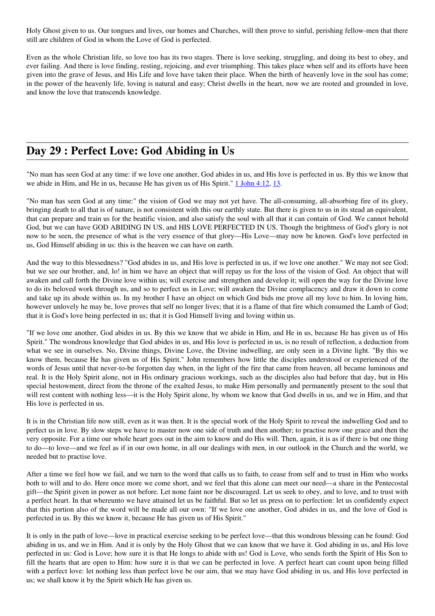Holy Ghost given to us. Our tongues and lives, our homes and Churches, will then prove to sinful, perishing fellow-men that there still are children of God in whom the Love of God is perfected.

Even as the whole Christian life, so love too has its two stages. There is love seeking, struggling, and doing its best to obey, and ever failing. And there is love finding, resting, rejoicing, and ever triumphing. This takes place when self and its efforts have been given into the grave of Jesus, and His Life and love have taken their place. When the birth of heavenly love in the soul has come; in the power of the heavenly life, loving is natural and easy; Christ dwells in the heart, now we are rooted and grounded in love, and know the love that transcends knowledge.

## Day 29 : Perfect Love: God Abiding in Us

"No man has seen God at any time: if we love one another, God abides in us, and His love is perfected in us. By this we know that we abide in Him, and He in us, because He has given us of His Spirit." [1 John 4:12,](http://www.crossbooks.com/verse.asp?ref=1Jn+4%3A12) [13.](http://www.crossbooks.com/verse.asp?ref=1Jn+4%3A13)

"No man has seen God at any time:" the vision of God we may not yet have. The all-consuming, all-absorbing fire of its glory, bringing death to all that is of nature, is not consistent with this our earthly state. But there is given to us in its stead an equivalent, that can prepare and train us for the beatific vision, and also satisfy the soul with all that it can contain of God. We cannot behold God, but we can have GOD ABIDING IN US, and HIS LOVE PERFECTED IN US. Though the brightness of God's glory is not now to be seen, the presence of what is the very essence of that glory—His Love—may now be known. God's love perfected in us, God Himself abiding in us: this is the heaven we can have on earth.

And the way to this blessedness? "God abides in us, and His love is perfected in us, if we love one another." We may not see God; but we see our brother, and, lo! in him we have an object that will repay us for the loss of the vision of God. An object that will awaken and call forth the Divine love within us; will exercise and strengthen and develop it; will open the way for the Divine love to do its beloved work through us, and so to perfect us in Love; will awaken the Divine complacency and draw it down to come and take up its abode within us. In my brother I have an object on which God bids me prove all my love to him. In loving him, however unlovely he may be, love proves that self no longer lives; that it is a flame of that fire which consumed the Lamb of God; that it is God's love being perfected in us; that it is God Himself living and loving within us.

"If we love one another, God abides in us. By this we know that we abide in Him, and He in us, because He has given us of His Spirit." The wondrous knowledge that God abides in us, and His love is perfected in us, is no result of reflection, a deduction from what we see in ourselves. No, Divine things, Divine Love, the Divine indwelling, are only seen in a Divine light. "By this we know them, because He has given us of His Spirit." John remembers how little the disciples understood or experienced of the words of Jesus until that nevertobe forgotten day when, in the light of the fire that came from heaven, all became luminous and real. It is the Holy Spirit alone, not in His ordinary gracious workings, such as the disciples also had before that day, but in His special bestowment, direct from the throne of the exalted Jesus, to make Him personally and permanently present to the soul that will rest content with nothing less—it is the Holy Spirit alone, by whom we know that God dwells in us, and we in Him, and that His love is perfected in us.

It is in the Christian life now still, even as it was then. It is the special work of the Holy Spirit to reveal the indwelling God and to perfect us in love. By slow steps we have to master now one side of truth and then another; to practise now one grace and then the very opposite. For a time our whole heart goes out in the aim to know and do His will. Then, again, it is as if there is but one thing to do—to love—and we feel as if in our own home, in all our dealings with men, in our outlook in the Church and the world, we needed but to practise love.

After a time we feel how we fail, and we turn to the word that calls us to faith, to cease from self and to trust in Him who works both to will and to do. Here once more we come short, and we feel that this alone can meet our need—a share in the Pentecostal gift—the Spirit given in power as not before. Let none faint nor be discouraged. Let us seek to obey, and to love, and to trust with a perfect heart. In that whereunto we have attained let us be faithful. But so let us press on to perfection: let us confidently expect that this portion also of the word will be made all our own: "If we love one another, God abides in us, and the love of God is perfected in us. By this we know it, because He has given us of His Spirit."

It is only in the path of love—love in practical exercise seeking to be perfect love—that this wondrous blessing can be found: God abiding in us, and we in Him. And it is only by the Holy Ghost that we can know that we have it. God abiding in us, and His love perfected in us: God is Love; how sure it is that He longs to abide with us! God is Love, who sends forth the Spirit of His Son to fill the hearts that are open to Him: how sure it is that we can be perfected in love. A perfect heart can count upon being filled with a perfect love: let nothing less than perfect love be our aim, that we may have God abiding in us, and His love perfected in us; we shall know it by the Spirit which He has given us.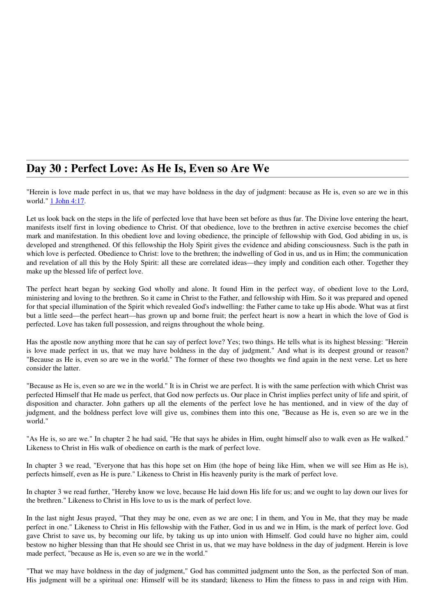## Day 30 : Perfect Love: As He Is, Even so Are We

"Herein is love made perfect in us, that we may have boldness in the day of judgment: because as He is, even so are we in this world." [1 John 4:17.](http://www.crossbooks.com/verse.asp?ref=1Jn+4%3A17)

Let us look back on the steps in the life of perfected love that have been set before as thus far. The Divine love entering the heart, manifests itself first in loving obedience to Christ. Of that obedience, love to the brethren in active exercise becomes the chief mark and manifestation. In this obedient love and loving obedience, the principle of fellowship with God, God abiding in us, is developed and strengthened. Of this fellowship the Holy Spirit gives the evidence and abiding consciousness. Such is the path in which love is perfected. Obedience to Christ: love to the brethren; the indwelling of God in us, and us in Him; the communication and revelation of all this by the Holy Spirit: all these are correlated ideas—they imply and condition each other. Together they make up the blessed life of perfect love.

The perfect heart began by seeking God wholly and alone. It found Him in the perfect way, of obedient love to the Lord, ministering and loving to the brethren. So it came in Christ to the Father, and fellowship with Him. So it was prepared and opened for that special illumination of the Spirit which revealed God's indwelling: the Father came to take up His abode. What was at first but a little seed—the perfect heart—has grown up and borne fruit; the perfect heart is now a heart in which the love of God is perfected. Love has taken full possession, and reigns throughout the whole being.

Has the apostle now anything more that he can say of perfect love? Yes; two things. He tells what is its highest blessing: "Herein is love made perfect in us, that we may have boldness in the day of judgment." And what is its deepest ground or reason? "Because as He is, even so are we in the world." The former of these two thoughts we find again in the next verse. Let us here consider the latter.

"Because as He is, even so are we in the world." It is in Christ we are perfect. It is with the same perfection with which Christ was perfected Himself that He made us perfect, that God now perfects us. Our place in Christ implies perfect unity of life and spirit, of disposition and character. John gathers up all the elements of the perfect love he has mentioned, and in view of the day of judgment, and the boldness perfect love will give us, combines them into this one, "Because as He is, even so are we in the world."

"As He is, so are we." In chapter 2 he had said, "He that says he abides in Him, ought himself also to walk even as He walked." Likeness to Christ in His walk of obedience on earth is the mark of perfect love.

In chapter 3 we read, "Everyone that has this hope set on Him (the hope of being like Him, when we will see Him as He is), perfects himself, even as He is pure." Likeness to Christ in His heavenly purity is the mark of perfect love.

In chapter 3 we read further, "Hereby know we love, because He laid down His life for us; and we ought to lay down our lives for the brethren." Likeness to Christ in His love to us is the mark of perfect love.

In the last night Jesus prayed, "That they may be one, even as we are one; I in them, and You in Me, that they may be made perfect in one." Likeness to Christ in His fellowship with the Father, God in us and we in Him, is the mark of perfect love. God gave Christ to save us, by becoming our life, by taking us up into union with Himself. God could have no higher aim, could bestow no higher blessing than that He should see Christ in us, that we may have boldness in the day of judgment. Herein is love made perfect, "because as He is, even so are we in the world."

"That we may have boldness in the day of judgment," God has committed judgment unto the Son, as the perfected Son of man. His judgment will be a spiritual one: Himself will be its standard; likeness to Him the fitness to pass in and reign with Him.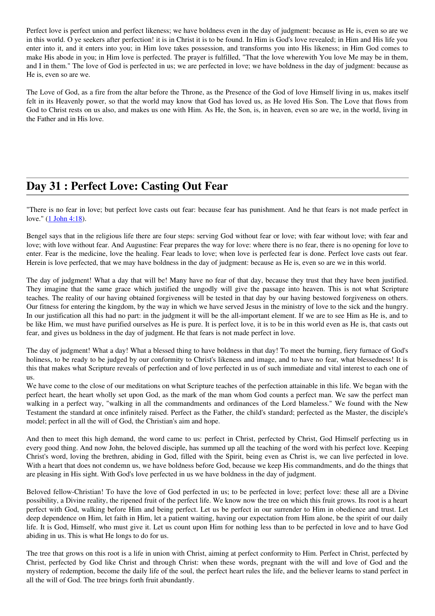Perfect love is perfect union and perfect likeness; we have boldness even in the day of judgment: because as He is, even so are we in this world. O ye seekers after perfection! it is in Christ it is to be found. In Him is God's love revealed; in Him and His life you enter into it, and it enters into you; in Him love takes possession, and transforms you into His likeness; in Him God comes to make His abode in you; in Him love is perfected. The prayer is fulfilled, "That the love wherewith You love Me may be in them, and I in them." The love of God is perfected in us; we are perfected in love; we have boldness in the day of judgment: because as He is, even so are we.

The Love of God, as a fire from the altar before the Throne, as the Presence of the God of love Himself living in us, makes itself felt in its Heavenly power, so that the world may know that God has loved us, as He loved His Son. The Love that flows from God to Christ rests on us also, and makes us one with Him. As He, the Son, is, in heaven, even so are we, in the world, living in the Father and in His love.

## Day 31 : Perfect Love: Casting Out Fear

"There is no fear in love; but perfect love casts out fear: because fear has punishment. And he that fears is not made perfect in love."  $(1$  John 4:18).

Bengel says that in the religious life there are four steps: serving God without fear or love; with fear without love; with fear and love; with love without fear. And Augustine: Fear prepares the way for love: where there is no fear, there is no opening for love to enter. Fear is the medicine, love the healing. Fear leads to love; when love is perfected fear is done. Perfect love casts out fear. Herein is love perfected, that we may have boldness in the day of judgment: because as He is, even so are we in this world.

The day of judgment! What a day that will be! Many have no fear of that day, because they trust that they have been justified. They imagine that the same grace which justified the ungodly will give the passage into heaven. This is not what Scripture teaches. The reality of our having obtained forgiveness will be tested in that day by our having bestowed forgiveness on others. Our fitness for entering the kingdom, by the way in which we have served Jesus in the ministry of love to the sick and the hungry. In our justification all this had no part: in the judgment it will be the all-important element. If we are to see Him as He is, and to be like Him, we must have purified ourselves as He is pure. It is perfect love, it is to be in this world even as He is, that casts out fear, and gives us boldness in the day of judgment. He that fears is not made perfect in love.

The day of judgment! What a day! What a blessed thing to have boldness in that day! To meet the burning, fiery furnace of God's holiness, to be ready to be judged by our conformity to Christ's likeness and image, and to have no fear, what blessedness! It is this that makes what Scripture reveals of perfection and of love perfected in us of such immediate and vital interest to each one of us.

We have come to the close of our meditations on what Scripture teaches of the perfection attainable in this life. We began with the perfect heart, the heart wholly set upon God, as the mark of the man whom God counts a perfect man. We saw the perfect man walking in a perfect way, "walking in all the commandments and ordinances of the Lord blameless." We found with the New Testament the standard at once infinitely raised. Perfect as the Father, the child's standard; perfected as the Master, the disciple's model; perfect in all the will of God, the Christian's aim and hope.

And then to meet this high demand, the word came to us: perfect in Christ, perfected by Christ, God Himself perfecting us in every good thing. And now John, the beloved disciple, has summed up all the teaching of the word with his perfect love. Keeping Christ's word, loving the brethren, abiding in God, filled with the Spirit, being even as Christ is, we can live perfected in love. With a heart that does not condemn us, we have boldness before God, because we keep His commandments, and do the things that are pleasing in His sight. With God's love perfected in us we have boldness in the day of judgment.

Beloved fellow-Christian! To have the love of God perfected in us; to be perfected in love; perfect love: these all are a Divine possibility, a Divine reality, the ripened fruit of the perfect life. We know now the tree on which this fruit grows. Its root is a heart perfect with God, walking before Him and being perfect. Let us be perfect in our surrender to Him in obedience and trust. Let deep dependence on Him, let faith in Him, let a patient waiting, having our expectation from Him alone, be the spirit of our daily life. It is God, Himself, who must give it. Let us count upon Him for nothing less than to be perfected in love and to have God abiding in us. This is what He longs to do for us.

The tree that grows on this root is a life in union with Christ, aiming at perfect conformity to Him. Perfect in Christ, perfected by Christ, perfected by God like Christ and through Christ: when these words, pregnant with the will and love of God and the mystery of redemption, become the daily life of the soul, the perfect heart rules the life, and the believer learns to stand perfect in all the will of God. The tree brings forth fruit abundantly.